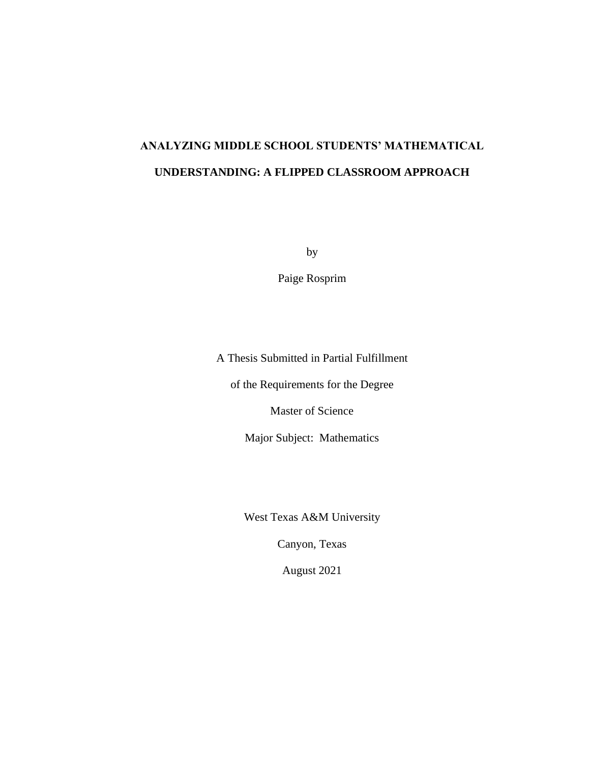# **ANALYZING MIDDLE SCHOOL STUDENTS' MATHEMATICAL UNDERSTANDING: A FLIPPED CLASSROOM APPROACH**

by

Paige Rosprim

A Thesis Submitted in Partial Fulfillment

of the Requirements for the Degree

Master of Science

Major Subject: Mathematics

West Texas A&M University

Canyon, Texas

August 2021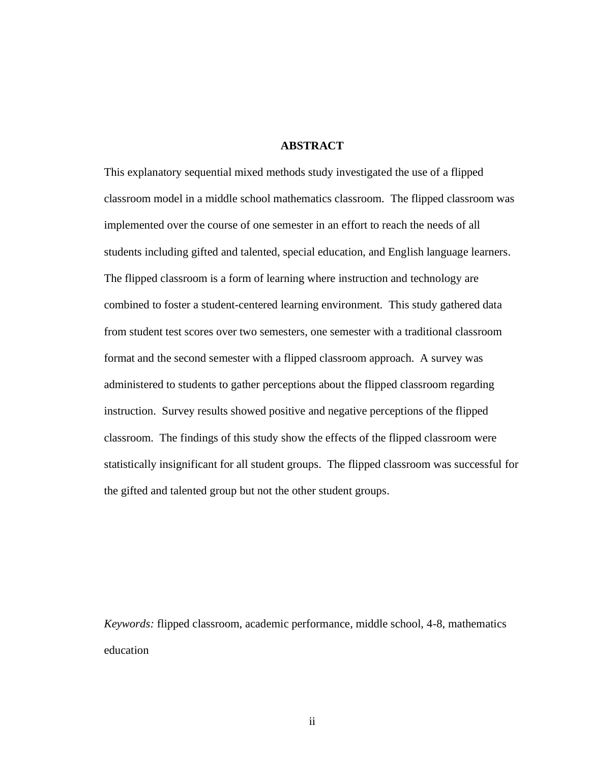## **ABSTRACT**

This explanatory sequential mixed methods study investigated the use of a flipped classroom model in a middle school mathematics classroom. The flipped classroom was implemented over the course of one semester in an effort to reach the needs of all students including gifted and talented, special education, and English language learners. The flipped classroom is a form of learning where instruction and technology are combined to foster a student-centered learning environment. This study gathered data from student test scores over two semesters, one semester with a traditional classroom format and the second semester with a flipped classroom approach. A survey was administered to students to gather perceptions about the flipped classroom regarding instruction. Survey results showed positive and negative perceptions of the flipped classroom. The findings of this study show the effects of the flipped classroom were statistically insignificant for all student groups. The flipped classroom was successful for the gifted and talented group but not the other student groups.

*Keywords:* flipped classroom, academic performance, middle school, 4-8, mathematics education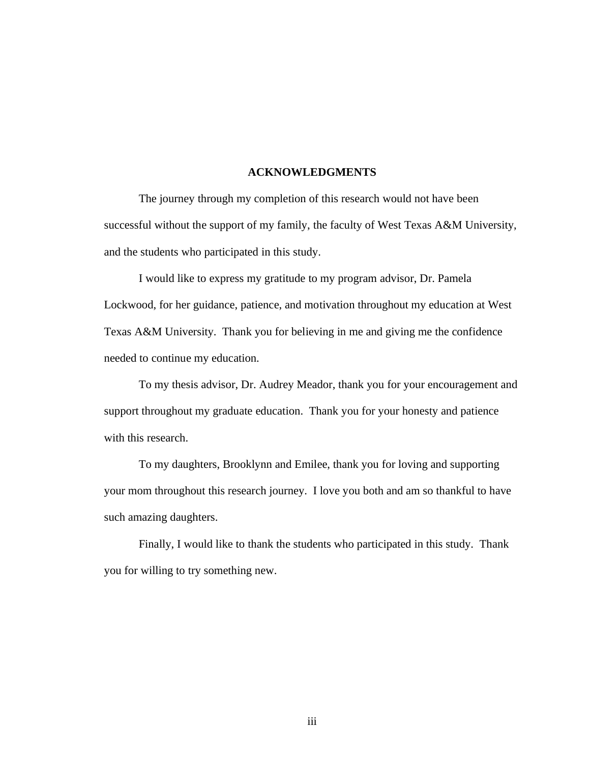### **ACKNOWLEDGMENTS**

The journey through my completion of this research would not have been successful without the support of my family, the faculty of West Texas A&M University, and the students who participated in this study.

I would like to express my gratitude to my program advisor, Dr. Pamela Lockwood, for her guidance, patience, and motivation throughout my education at West Texas A&M University. Thank you for believing in me and giving me the confidence needed to continue my education.

To my thesis advisor, Dr. Audrey Meador, thank you for your encouragement and support throughout my graduate education. Thank you for your honesty and patience with this research.

To my daughters, Brooklynn and Emilee, thank you for loving and supporting your mom throughout this research journey. I love you both and am so thankful to have such amazing daughters.

Finally, I would like to thank the students who participated in this study. Thank you for willing to try something new.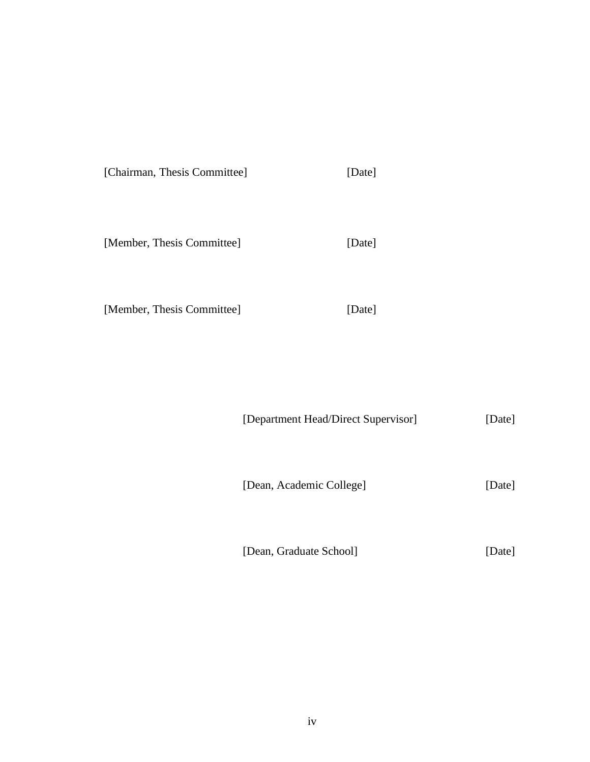|  | [Chairman, Thesis Committee] | [Date] |
|--|------------------------------|--------|
|--|------------------------------|--------|

[Member, Thesis Committee] [Date]

[Member, Thesis Committee] [Date]

[Department Head/Direct Supervisor] [Date]

[Dean, Academic College] [Date]

[Dean, Graduate School] [Date]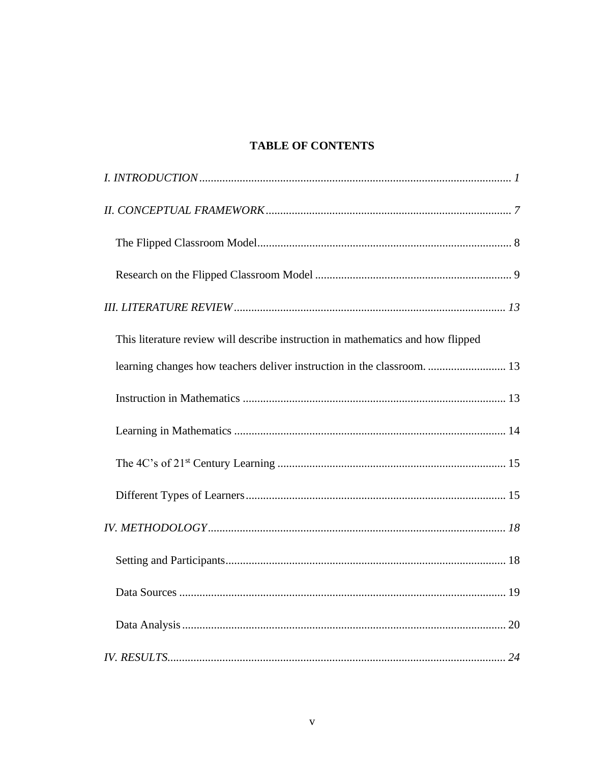## **TABLE OF CONTENTS**

| This literature review will describe instruction in mathematics and how flipped |
|---------------------------------------------------------------------------------|
| learning changes how teachers deliver instruction in the classroom.  13         |
|                                                                                 |
|                                                                                 |
|                                                                                 |
|                                                                                 |
|                                                                                 |
|                                                                                 |
|                                                                                 |
|                                                                                 |
|                                                                                 |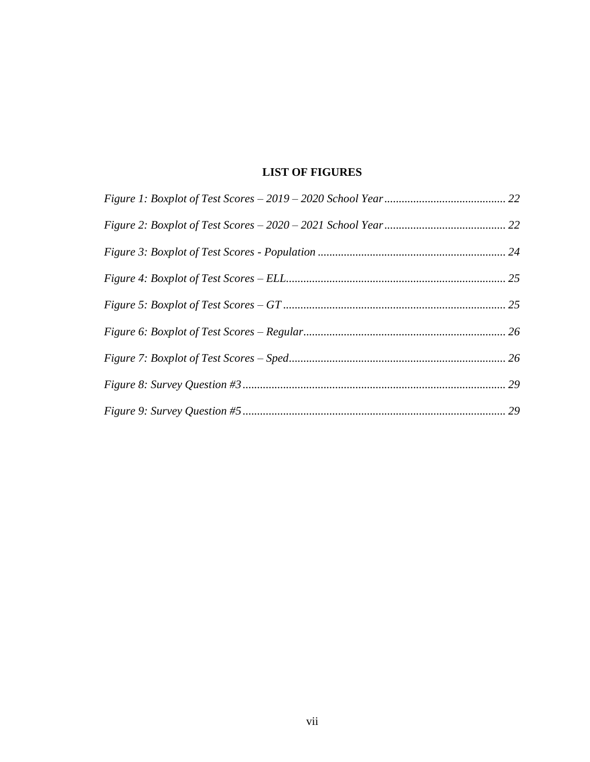## **LIST OF FIGURES**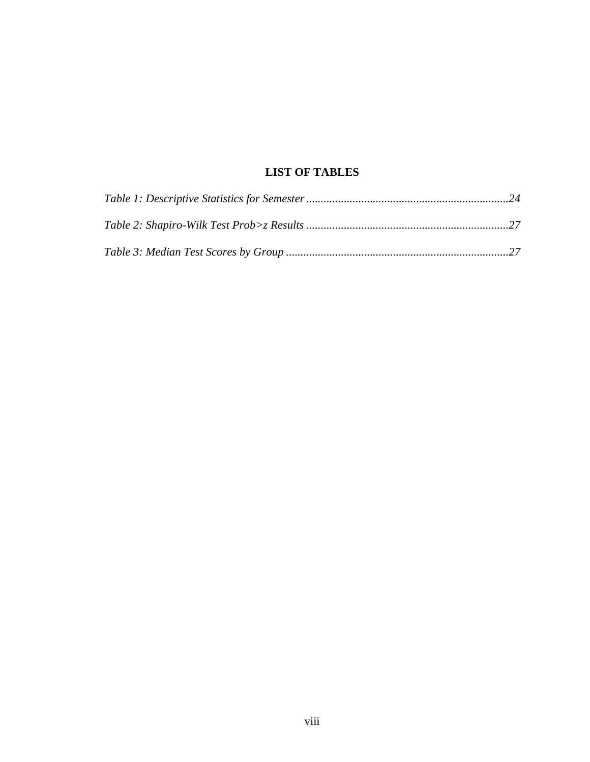## **LIST OF TABLES**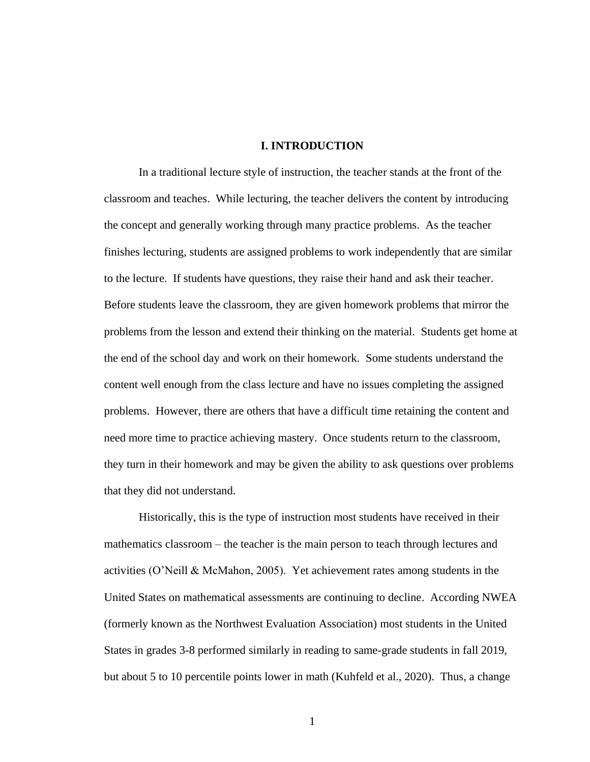### **I. INTRODUCTION**

<span id="page-8-0"></span>In a traditional lecture style of instruction, the teacher stands at the front of the classroom and teaches. While lecturing, the teacher delivers the content by introducing the concept and generally working through many practice problems. As the teacher finishes lecturing, students are assigned problems to work independently that are similar to the lecture. If students have questions, they raise their hand and ask their teacher. Before students leave the classroom, they are given homework problems that mirror the problems from the lesson and extend their thinking on the material. Students get home at the end of the school day and work on their homework. Some students understand the content well enough from the class lecture and have no issues completing the assigned problems. However, there are others that have a difficult time retaining the content and need more time to practice achieving mastery. Once students return to the classroom, they turn in their homework and may be given the ability to ask questions over problems that they did not understand.

Historically, this is the type of instruction most students have received in their mathematics classroom – the teacher is the main person to teach through lectures and activities (O'Neill & McMahon, 2005). Yet achievement rates among students in the United States on mathematical assessments are continuing to decline. According NWEA (formerly known as the Northwest Evaluation Association) most students in the United States in grades 3-8 performed similarly in reading to same-grade students in fall 2019, but about 5 to 10 percentile points lower in math (Kuhfeld et al., 2020). Thus, a change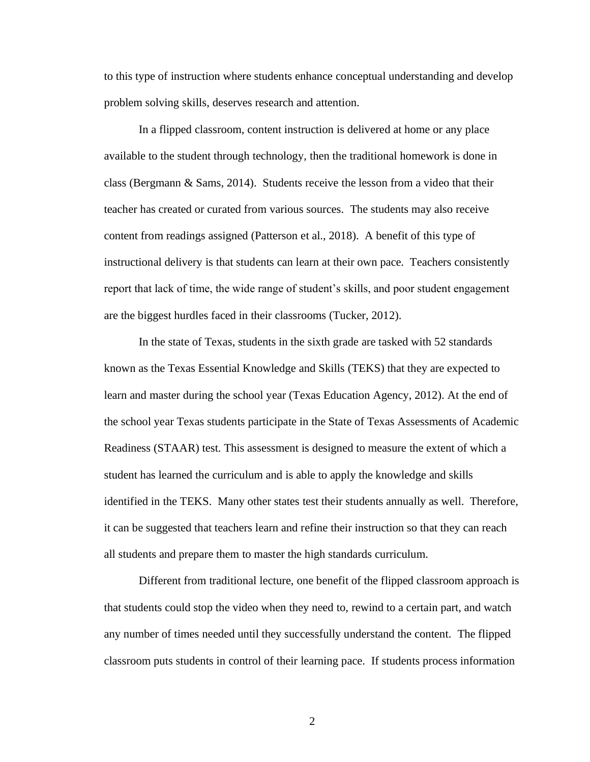to this type of instruction where students enhance conceptual understanding and develop problem solving skills, deserves research and attention.

In a flipped classroom, content instruction is delivered at home or any place available to the student through technology, then the traditional homework is done in class (Bergmann & Sams, 2014). Students receive the lesson from a video that their teacher has created or curated from various sources. The students may also receive content from readings assigned (Patterson et al., 2018). A benefit of this type of instructional delivery is that students can learn at their own pace. Teachers consistently report that lack of time, the wide range of student's skills, and poor student engagement are the biggest hurdles faced in their classrooms (Tucker, 2012).

In the state of Texas, students in the sixth grade are tasked with 52 standards known as the Texas Essential Knowledge and Skills (TEKS) that they are expected to learn and master during the school year (Texas Education Agency, 2012). At the end of the school year Texas students participate in the State of Texas Assessments of Academic Readiness (STAAR) test. This assessment is designed to measure the extent of which a student has learned the curriculum and is able to apply the knowledge and skills identified in the TEKS. Many other states test their students annually as well. Therefore, it can be suggested that teachers learn and refine their instruction so that they can reach all students and prepare them to master the high standards curriculum.

Different from traditional lecture, one benefit of the flipped classroom approach is that students could stop the video when they need to, rewind to a certain part, and watch any number of times needed until they successfully understand the content. The flipped classroom puts students in control of their learning pace. If students process information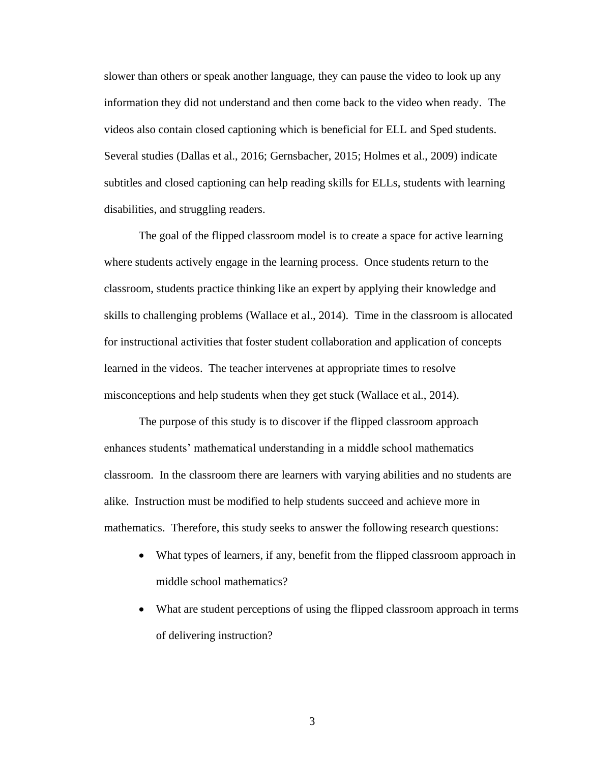slower than others or speak another language, they can pause the video to look up any information they did not understand and then come back to the video when ready. The videos also contain closed captioning which is beneficial for ELL and Sped students. Several studies (Dallas et al., 2016; Gernsbacher, 2015; Holmes et al., 2009) indicate subtitles and closed captioning can help reading skills for ELLs, students with learning disabilities, and struggling readers.

The goal of the flipped classroom model is to create a space for active learning where students actively engage in the learning process. Once students return to the classroom, students practice thinking like an expert by applying their knowledge and skills to challenging problems (Wallace et al., 2014). Time in the classroom is allocated for instructional activities that foster student collaboration and application of concepts learned in the videos. The teacher intervenes at appropriate times to resolve misconceptions and help students when they get stuck (Wallace et al., 2014).

The purpose of this study is to discover if the flipped classroom approach enhances students' mathematical understanding in a middle school mathematics classroom. In the classroom there are learners with varying abilities and no students are alike. Instruction must be modified to help students succeed and achieve more in mathematics. Therefore, this study seeks to answer the following research questions:

- What types of learners, if any, benefit from the flipped classroom approach in middle school mathematics?
- What are student perceptions of using the flipped classroom approach in terms of delivering instruction?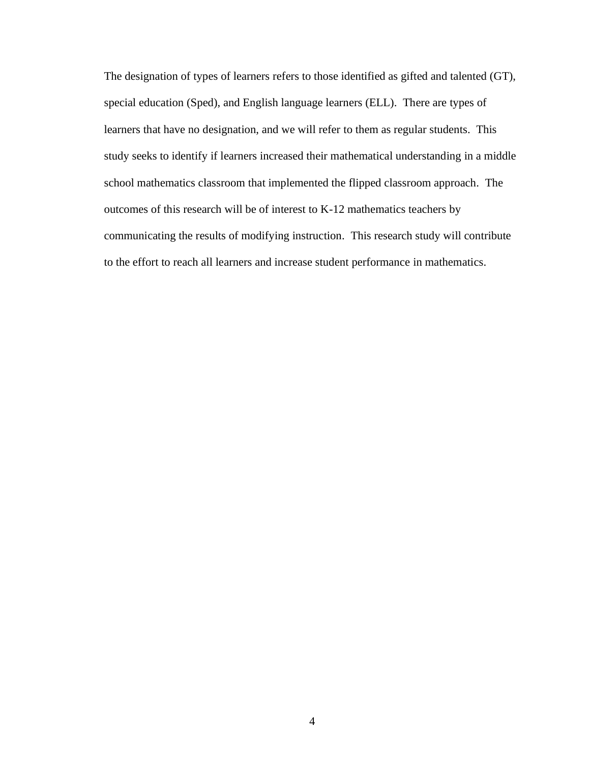The designation of types of learners refers to those identified as gifted and talented (GT), special education (Sped), and English language learners (ELL). There are types of learners that have no designation, and we will refer to them as regular students. This study seeks to identify if learners increased their mathematical understanding in a middle school mathematics classroom that implemented the flipped classroom approach. The outcomes of this research will be of interest to K-12 mathematics teachers by communicating the results of modifying instruction. This research study will contribute to the effort to reach all learners and increase student performance in mathematics.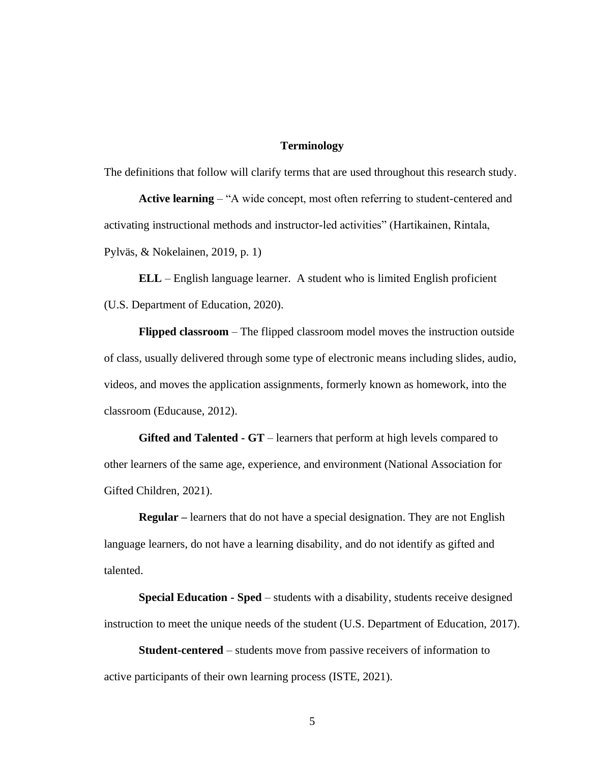## **Terminology**

The definitions that follow will clarify terms that are used throughout this research study.

**Active learning** – "A wide concept, most often referring to student-centered and activating instructional methods and instructor-led activities" (Hartikainen, Rintala, Pylväs, & Nokelainen, 2019, p. 1)

**ELL** – English language learner. A student who is limited English proficient (U.S. Department of Education, 2020).

**Flipped classroom** – The flipped classroom model moves the instruction outside of class, usually delivered through some type of electronic means including slides, audio, videos, and moves the application assignments, formerly known as homework, into the classroom (Educause, 2012).

**Gifted and Talented - GT** – learners that perform at high levels compared to other learners of the same age, experience, and environment (National Association for Gifted Children, 2021).

**Regular –** learners that do not have a special designation. They are not English language learners, do not have a learning disability, and do not identify as gifted and talented.

**Special Education - Sped** – students with a disability, students receive designed instruction to meet the unique needs of the student (U.S. Department of Education, 2017).

**Student-centered** – students move from passive receivers of information to active participants of their own learning process (ISTE, 2021).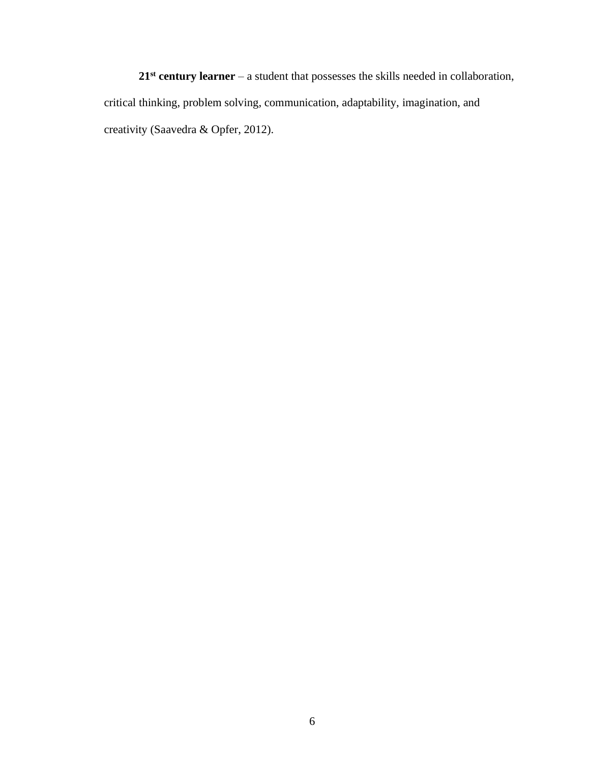**21st century learner** – a student that possesses the skills needed in collaboration, critical thinking, problem solving, communication, adaptability, imagination, and creativity (Saavedra & Opfer, 2012).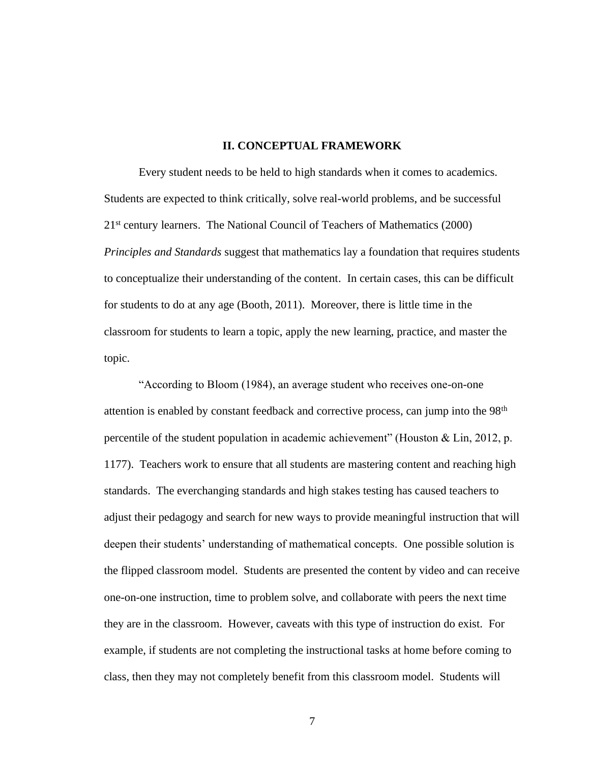## **II. CONCEPTUAL FRAMEWORK**

<span id="page-14-0"></span>Every student needs to be held to high standards when it comes to academics. Students are expected to think critically, solve real-world problems, and be successful 21<sup>st</sup> century learners. The National Council of Teachers of Mathematics (2000) *Principles and Standards* suggest that mathematics lay a foundation that requires students to conceptualize their understanding of the content. In certain cases, this can be difficult for students to do at any age (Booth, 2011). Moreover, there is little time in the classroom for students to learn a topic, apply the new learning, practice, and master the topic.

"According to Bloom (1984), an average student who receives one-on-one attention is enabled by constant feedback and corrective process, can jump into the 98<sup>th</sup> percentile of the student population in academic achievement" (Houston & Lin, 2012, p. 1177). Teachers work to ensure that all students are mastering content and reaching high standards. The everchanging standards and high stakes testing has caused teachers to adjust their pedagogy and search for new ways to provide meaningful instruction that will deepen their students' understanding of mathematical concepts. One possible solution is the flipped classroom model. Students are presented the content by video and can receive one-on-one instruction, time to problem solve, and collaborate with peers the next time they are in the classroom. However, caveats with this type of instruction do exist. For example, if students are not completing the instructional tasks at home before coming to class, then they may not completely benefit from this classroom model. Students will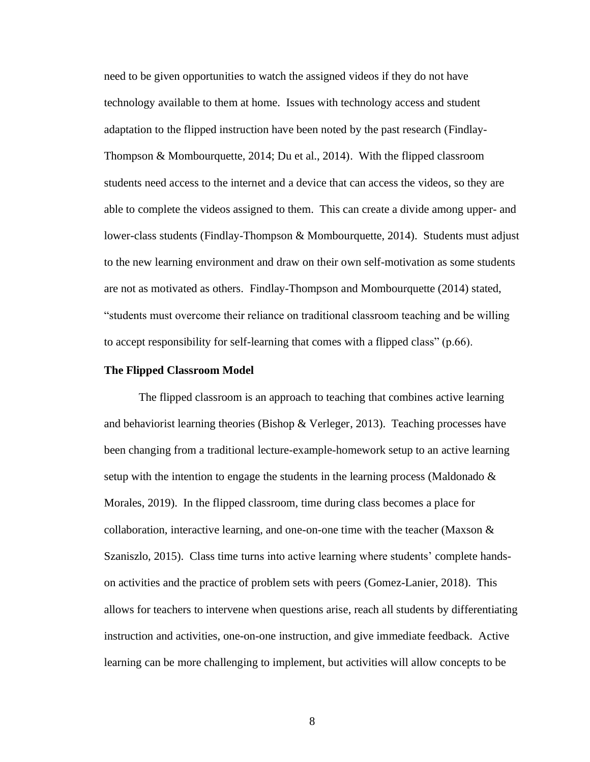need to be given opportunities to watch the assigned videos if they do not have technology available to them at home. Issues with technology access and student adaptation to the flipped instruction have been noted by the past research (Findlay-Thompson & Mombourquette, 2014; Du et al., 2014). With the flipped classroom students need access to the internet and a device that can access the videos, so they are able to complete the videos assigned to them. This can create a divide among upper- and lower-class students (Findlay-Thompson & Mombourquette, 2014). Students must adjust to the new learning environment and draw on their own self-motivation as some students are not as motivated as others. Findlay-Thompson and Mombourquette (2014) stated, "students must overcome their reliance on traditional classroom teaching and be willing to accept responsibility for self-learning that comes with a flipped class" (p.66).

#### <span id="page-15-0"></span>**The Flipped Classroom Model**

The flipped classroom is an approach to teaching that combines active learning and behaviorist learning theories (Bishop & Verleger, 2013). Teaching processes have been changing from a traditional lecture-example-homework setup to an active learning setup with the intention to engage the students in the learning process (Maldonado  $\&$ Morales, 2019). In the flipped classroom, time during class becomes a place for collaboration, interactive learning, and one-on-one time with the teacher (Maxson  $\&$ Szaniszlo, 2015). Class time turns into active learning where students' complete handson activities and the practice of problem sets with peers (Gomez-Lanier, 2018). This allows for teachers to intervene when questions arise, reach all students by differentiating instruction and activities, one-on-one instruction, and give immediate feedback. Active learning can be more challenging to implement, but activities will allow concepts to be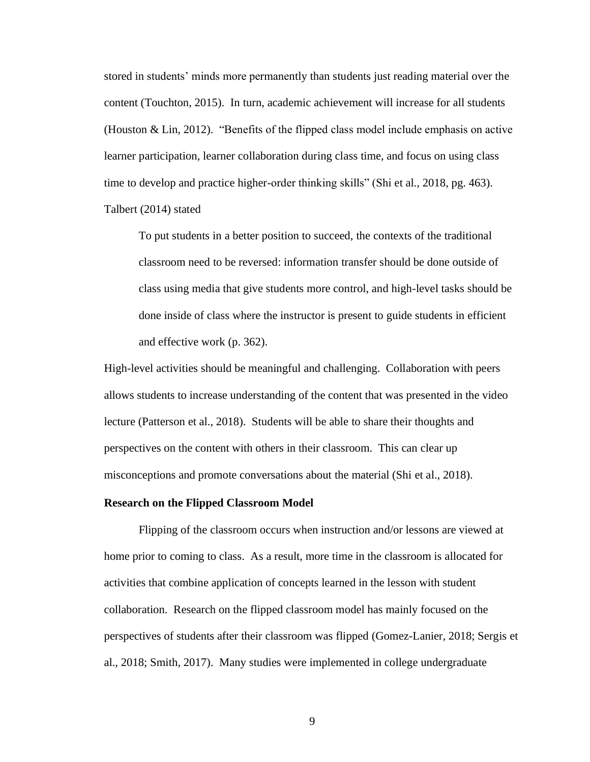stored in students' minds more permanently than students just reading material over the content (Touchton, 2015). In turn, academic achievement will increase for all students (Houston & Lin, 2012). "Benefits of the flipped class model include emphasis on active learner participation, learner collaboration during class time, and focus on using class time to develop and practice higher-order thinking skills" (Shi et al., 2018, pg. 463). Talbert (2014) stated

To put students in a better position to succeed, the contexts of the traditional classroom need to be reversed: information transfer should be done outside of class using media that give students more control, and high-level tasks should be done inside of class where the instructor is present to guide students in efficient and effective work (p. 362).

High-level activities should be meaningful and challenging. Collaboration with peers allows students to increase understanding of the content that was presented in the video lecture (Patterson et al., 2018). Students will be able to share their thoughts and perspectives on the content with others in their classroom. This can clear up misconceptions and promote conversations about the material (Shi et al., 2018).

### <span id="page-16-0"></span>**Research on the Flipped Classroom Model**

Flipping of the classroom occurs when instruction and/or lessons are viewed at home prior to coming to class. As a result, more time in the classroom is allocated for activities that combine application of concepts learned in the lesson with student collaboration. Research on the flipped classroom model has mainly focused on the perspectives of students after their classroom was flipped (Gomez-Lanier, 2018; Sergis et al., 2018; Smith, 2017). Many studies were implemented in college undergraduate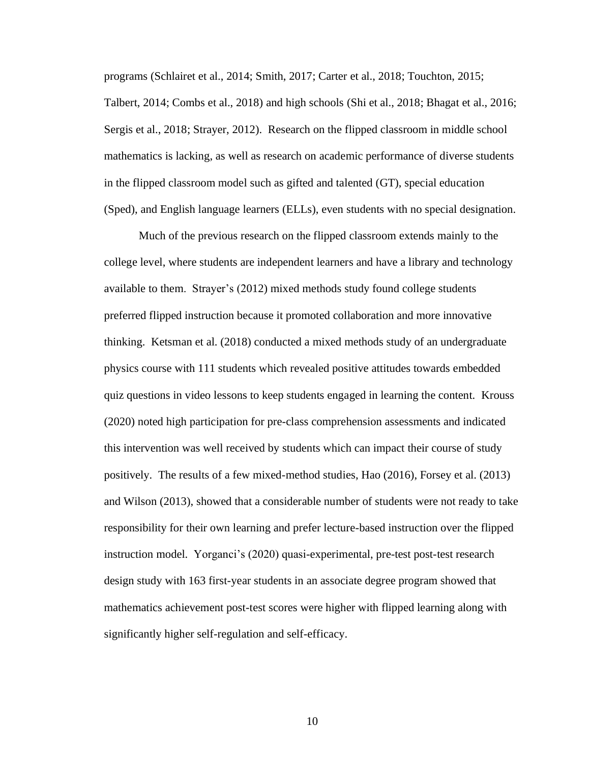programs (Schlairet et al., 2014; Smith, 2017; Carter et al., 2018; Touchton, 2015; Talbert, 2014; Combs et al., 2018) and high schools (Shi et al., 2018; Bhagat et al., 2016; Sergis et al., 2018; Strayer, 2012). Research on the flipped classroom in middle school mathematics is lacking, as well as research on academic performance of diverse students in the flipped classroom model such as gifted and talented (GT), special education (Sped), and English language learners (ELLs), even students with no special designation.

Much of the previous research on the flipped classroom extends mainly to the college level, where students are independent learners and have a library and technology available to them. Strayer's (2012) mixed methods study found college students preferred flipped instruction because it promoted collaboration and more innovative thinking. Ketsman et al. (2018) conducted a mixed methods study of an undergraduate physics course with 111 students which revealed positive attitudes towards embedded quiz questions in video lessons to keep students engaged in learning the content. Krouss (2020) noted high participation for pre-class comprehension assessments and indicated this intervention was well received by students which can impact their course of study positively. The results of a few mixed-method studies, Hao (2016), Forsey et al. (2013) and Wilson (2013), showed that a considerable number of students were not ready to take responsibility for their own learning and prefer lecture-based instruction over the flipped instruction model. Yorganci's (2020) quasi-experimental, pre-test post-test research design study with 163 first-year students in an associate degree program showed that mathematics achievement post-test scores were higher with flipped learning along with significantly higher self-regulation and self-efficacy.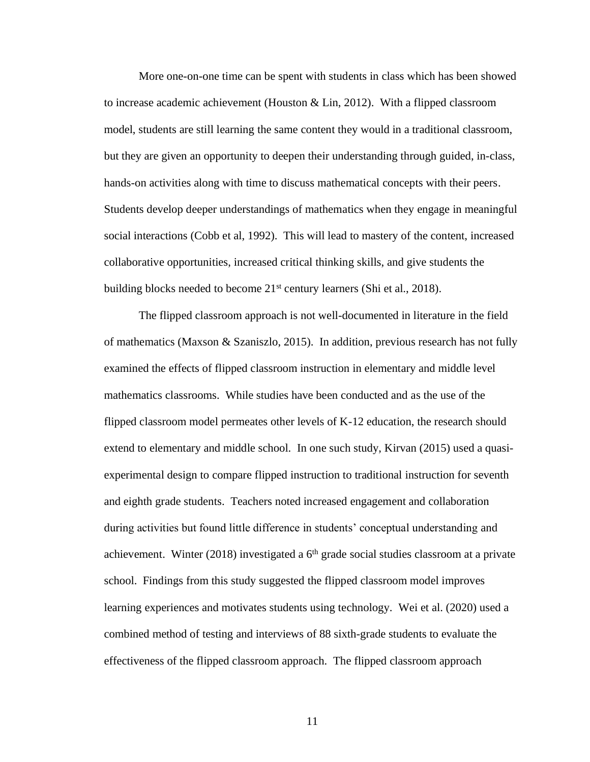More one-on-one time can be spent with students in class which has been showed to increase academic achievement (Houston & Lin, 2012). With a flipped classroom model, students are still learning the same content they would in a traditional classroom, but they are given an opportunity to deepen their understanding through guided, in-class, hands-on activities along with time to discuss mathematical concepts with their peers. Students develop deeper understandings of mathematics when they engage in meaningful social interactions (Cobb et al, 1992). This will lead to mastery of the content, increased collaborative opportunities, increased critical thinking skills, and give students the building blocks needed to become  $21<sup>st</sup>$  century learners (Shi et al., 2018).

The flipped classroom approach is not well-documented in literature in the field of mathematics (Maxson & Szaniszlo, 2015). In addition, previous research has not fully examined the effects of flipped classroom instruction in elementary and middle level mathematics classrooms. While studies have been conducted and as the use of the flipped classroom model permeates other levels of K-12 education, the research should extend to elementary and middle school. In one such study, Kirvan (2015) used a quasiexperimental design to compare flipped instruction to traditional instruction for seventh and eighth grade students. Teachers noted increased engagement and collaboration during activities but found little difference in students' conceptual understanding and achievement. Winter (2018) investigated a  $6<sup>th</sup>$  grade social studies classroom at a private school. Findings from this study suggested the flipped classroom model improves learning experiences and motivates students using technology. Wei et al. (2020) used a combined method of testing and interviews of 88 sixth-grade students to evaluate the effectiveness of the flipped classroom approach. The flipped classroom approach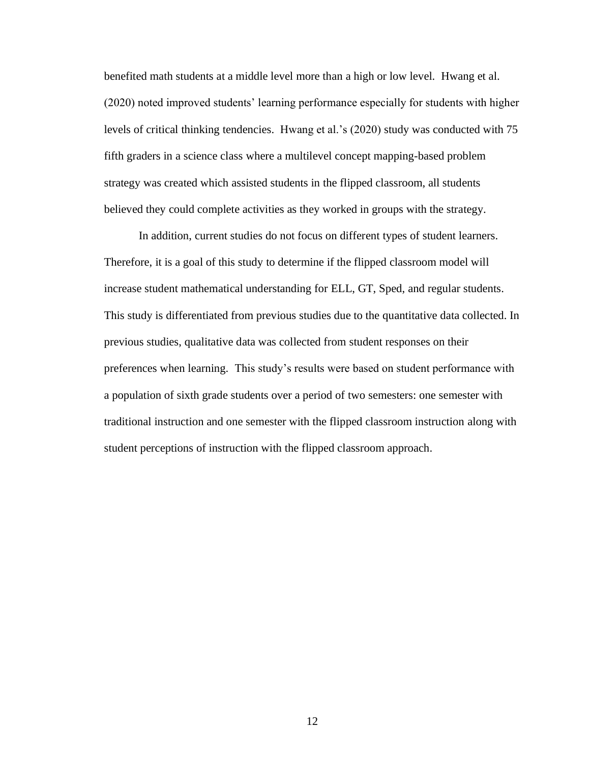benefited math students at a middle level more than a high or low level. Hwang et al. (2020) noted improved students' learning performance especially for students with higher levels of critical thinking tendencies. Hwang et al.'s (2020) study was conducted with 75 fifth graders in a science class where a multilevel concept mapping-based problem strategy was created which assisted students in the flipped classroom, all students believed they could complete activities as they worked in groups with the strategy.

In addition, current studies do not focus on different types of student learners. Therefore, it is a goal of this study to determine if the flipped classroom model will increase student mathematical understanding for ELL, GT, Sped, and regular students. This study is differentiated from previous studies due to the quantitative data collected. In previous studies, qualitative data was collected from student responses on their preferences when learning. This study's results were based on student performance with a population of sixth grade students over a period of two semesters: one semester with traditional instruction and one semester with the flipped classroom instruction along with student perceptions of instruction with the flipped classroom approach.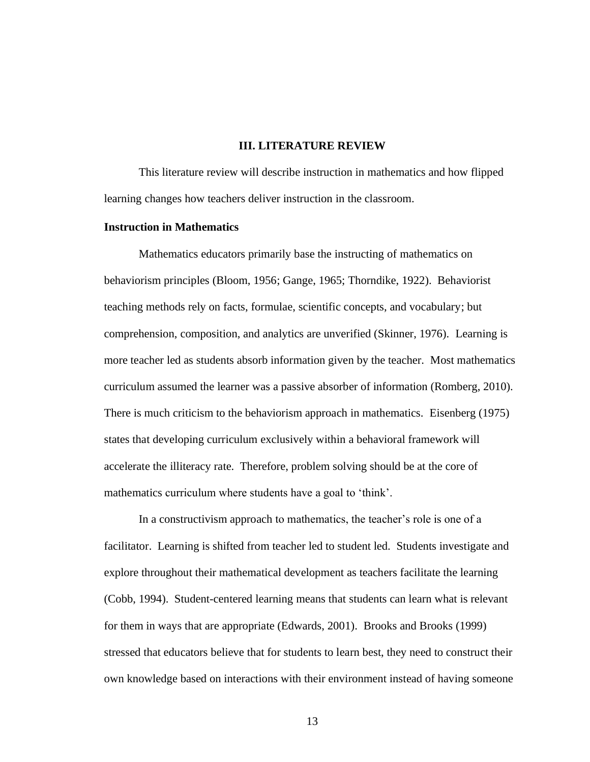## **III. LITERATURE REVIEW**

<span id="page-20-1"></span><span id="page-20-0"></span>This literature review will describe instruction in mathematics and how flipped learning changes how teachers deliver instruction in the classroom.

## <span id="page-20-2"></span>**Instruction in Mathematics**

Mathematics educators primarily base the instructing of mathematics on behaviorism principles (Bloom, 1956; Gange, 1965; Thorndike, 1922). Behaviorist teaching methods rely on facts, formulae, scientific concepts, and vocabulary; but comprehension, composition, and analytics are unverified (Skinner, 1976). Learning is more teacher led as students absorb information given by the teacher. Most mathematics curriculum assumed the learner was a passive absorber of information (Romberg, 2010). There is much criticism to the behaviorism approach in mathematics. Eisenberg (1975) states that developing curriculum exclusively within a behavioral framework will accelerate the illiteracy rate. Therefore, problem solving should be at the core of mathematics curriculum where students have a goal to 'think'.

In a constructivism approach to mathematics, the teacher's role is one of a facilitator. Learning is shifted from teacher led to student led. Students investigate and explore throughout their mathematical development as teachers facilitate the learning (Cobb, 1994). Student-centered learning means that students can learn what is relevant for them in ways that are appropriate (Edwards, 2001). Brooks and Brooks (1999) stressed that educators believe that for students to learn best, they need to construct their own knowledge based on interactions with their environment instead of having someone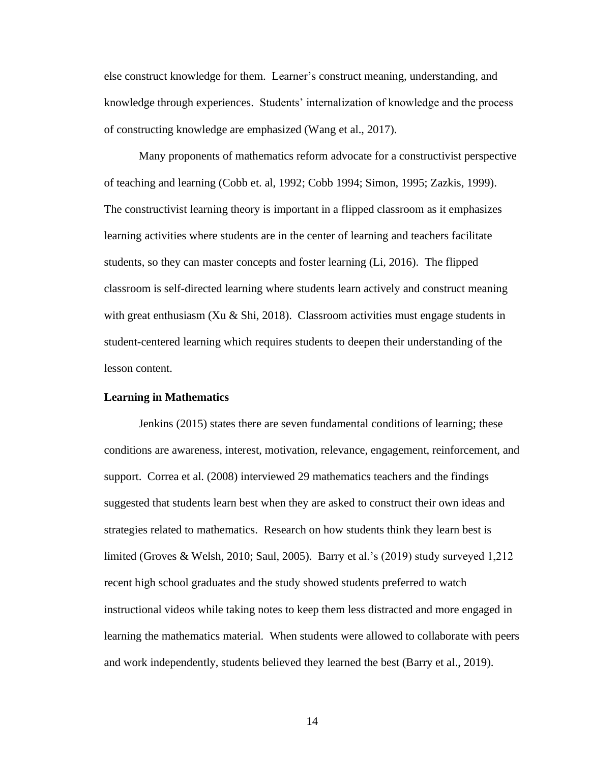else construct knowledge for them. Learner's construct meaning, understanding, and knowledge through experiences. Students' internalization of knowledge and the process of constructing knowledge are emphasized (Wang et al., 2017).

Many proponents of mathematics reform advocate for a constructivist perspective of teaching and learning (Cobb et. al, 1992; Cobb 1994; Simon, 1995; Zazkis, 1999). The constructivist learning theory is important in a flipped classroom as it emphasizes learning activities where students are in the center of learning and teachers facilitate students, so they can master concepts and foster learning (Li, 2016). The flipped classroom is self-directed learning where students learn actively and construct meaning with great enthusiasm (Xu & Shi, 2018). Classroom activities must engage students in student-centered learning which requires students to deepen their understanding of the lesson content.

### <span id="page-21-0"></span>**Learning in Mathematics**

Jenkins (2015) states there are seven fundamental conditions of learning; these conditions are awareness, interest, motivation, relevance, engagement, reinforcement, and support. Correa et al. (2008) interviewed 29 mathematics teachers and the findings suggested that students learn best when they are asked to construct their own ideas and strategies related to mathematics. Research on how students think they learn best is limited (Groves & Welsh, 2010; Saul, 2005). Barry et al.'s (2019) study surveyed 1,212 recent high school graduates and the study showed students preferred to watch instructional videos while taking notes to keep them less distracted and more engaged in learning the mathematics material. When students were allowed to collaborate with peers and work independently, students believed they learned the best (Barry et al., 2019).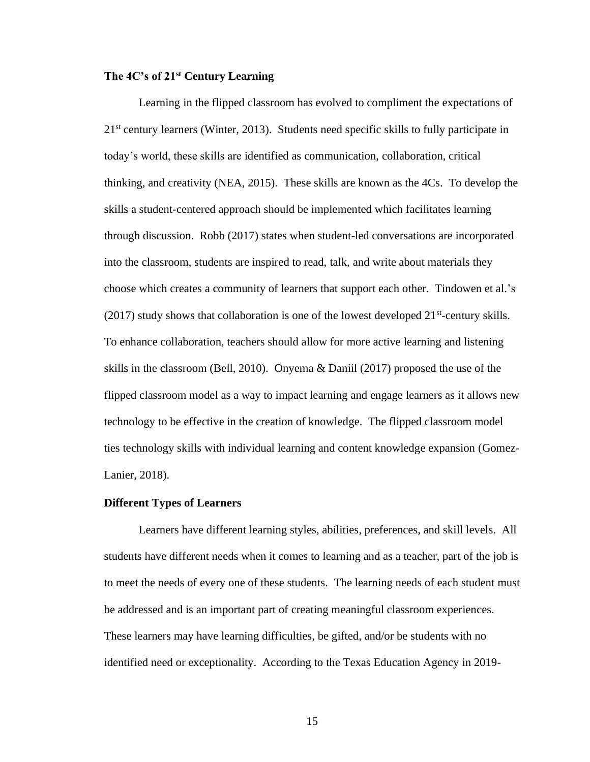## <span id="page-22-0"></span>**The 4C's of 21st Century Learning**

Learning in the flipped classroom has evolved to compliment the expectations of 21st century learners (Winter, 2013). Students need specific skills to fully participate in today's world, these skills are identified as communication, collaboration, critical thinking, and creativity (NEA, 2015). These skills are known as the 4Cs. To develop the skills a student-centered approach should be implemented which facilitates learning through discussion. Robb (2017) states when student-led conversations are incorporated into the classroom, students are inspired to read, talk, and write about materials they choose which creates a community of learners that support each other. Tindowen et al.'s  $(2017)$  study shows that collaboration is one of the lowest developed  $21<sup>st</sup>$ -century skills. To enhance collaboration, teachers should allow for more active learning and listening skills in the classroom (Bell, 2010). Onyema & Daniil (2017) proposed the use of the flipped classroom model as a way to impact learning and engage learners as it allows new technology to be effective in the creation of knowledge. The flipped classroom model ties technology skills with individual learning and content knowledge expansion (Gomez-Lanier, 2018).

## <span id="page-22-1"></span>**Different Types of Learners**

Learners have different learning styles, abilities, preferences, and skill levels. All students have different needs when it comes to learning and as a teacher, part of the job is to meet the needs of every one of these students. The learning needs of each student must be addressed and is an important part of creating meaningful classroom experiences. These learners may have learning difficulties, be gifted, and/or be students with no identified need or exceptionality. According to the Texas Education Agency in 2019-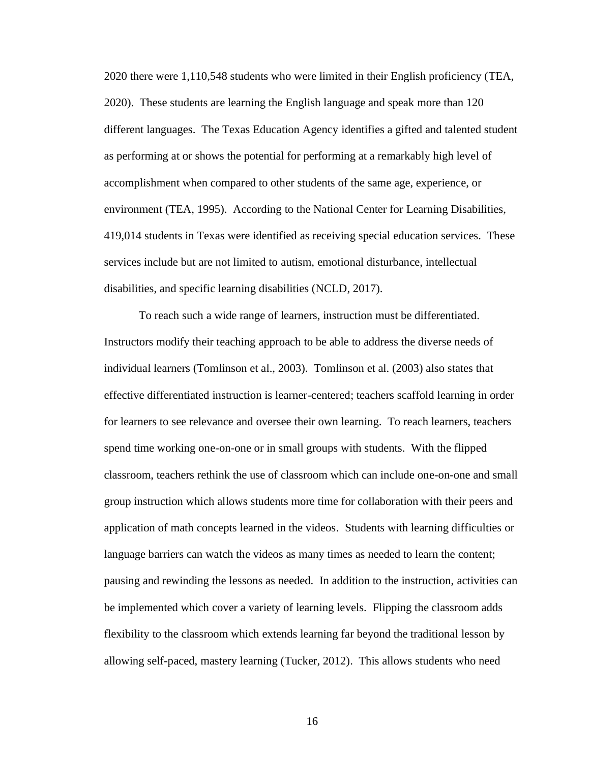2020 there were 1,110,548 students who were limited in their English proficiency (TEA, 2020). These students are learning the English language and speak more than 120 different languages. The Texas Education Agency identifies a gifted and talented student as performing at or shows the potential for performing at a remarkably high level of accomplishment when compared to other students of the same age, experience, or environment (TEA, 1995). According to the National Center for Learning Disabilities, 419,014 students in Texas were identified as receiving special education services. These services include but are not limited to autism, emotional disturbance, intellectual disabilities, and specific learning disabilities (NCLD, 2017).

To reach such a wide range of learners, instruction must be differentiated. Instructors modify their teaching approach to be able to address the diverse needs of individual learners (Tomlinson et al., 2003). Tomlinson et al. (2003) also states that effective differentiated instruction is learner-centered; teachers scaffold learning in order for learners to see relevance and oversee their own learning. To reach learners, teachers spend time working one-on-one or in small groups with students. With the flipped classroom, teachers rethink the use of classroom which can include one-on-one and small group instruction which allows students more time for collaboration with their peers and application of math concepts learned in the videos. Students with learning difficulties or language barriers can watch the videos as many times as needed to learn the content; pausing and rewinding the lessons as needed. In addition to the instruction, activities can be implemented which cover a variety of learning levels. Flipping the classroom adds flexibility to the classroom which extends learning far beyond the traditional lesson by allowing self-paced, mastery learning (Tucker, 2012). This allows students who need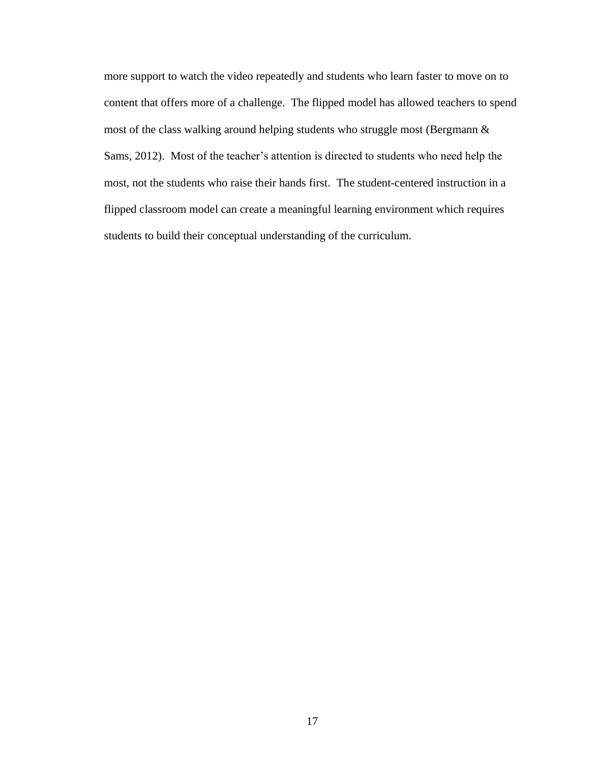more support to watch the video repeatedly and students who learn faster to move on to content that offers more of a challenge. The flipped model has allowed teachers to spend most of the class walking around helping students who struggle most (Bergmann & Sams, 2012). Most of the teacher's attention is directed to students who need help the most, not the students who raise their hands first. The student-centered instruction in a flipped classroom model can create a meaningful learning environment which requires students to build their conceptual understanding of the curriculum.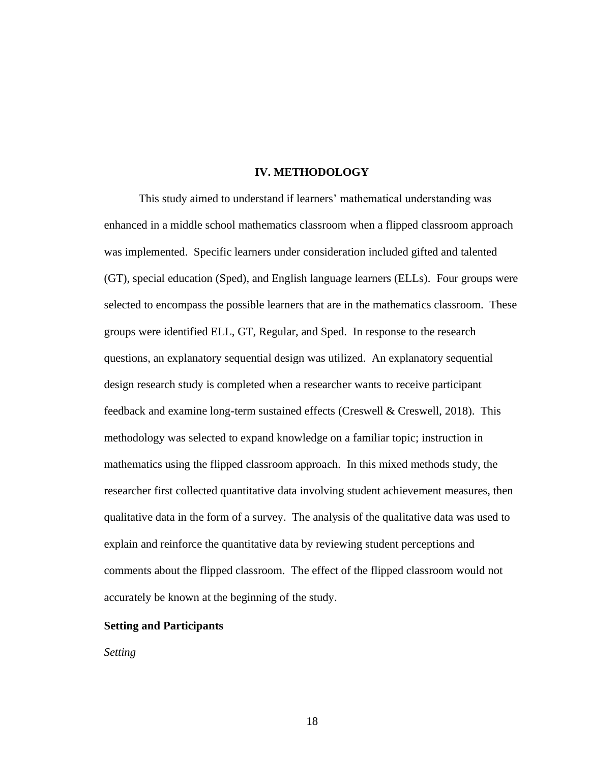### **IV. METHODOLOGY**

<span id="page-25-0"></span>This study aimed to understand if learners' mathematical understanding was enhanced in a middle school mathematics classroom when a flipped classroom approach was implemented. Specific learners under consideration included gifted and talented (GT), special education (Sped), and English language learners (ELLs). Four groups were selected to encompass the possible learners that are in the mathematics classroom. These groups were identified ELL, GT, Regular, and Sped. In response to the research questions, an explanatory sequential design was utilized. An explanatory sequential design research study is completed when a researcher wants to receive participant feedback and examine long-term sustained effects (Creswell & Creswell, 2018). This methodology was selected to expand knowledge on a familiar topic; instruction in mathematics using the flipped classroom approach. In this mixed methods study, the researcher first collected quantitative data involving student achievement measures, then qualitative data in the form of a survey. The analysis of the qualitative data was used to explain and reinforce the quantitative data by reviewing student perceptions and comments about the flipped classroom. The effect of the flipped classroom would not accurately be known at the beginning of the study.

## <span id="page-25-1"></span>**Setting and Participants**

*Setting*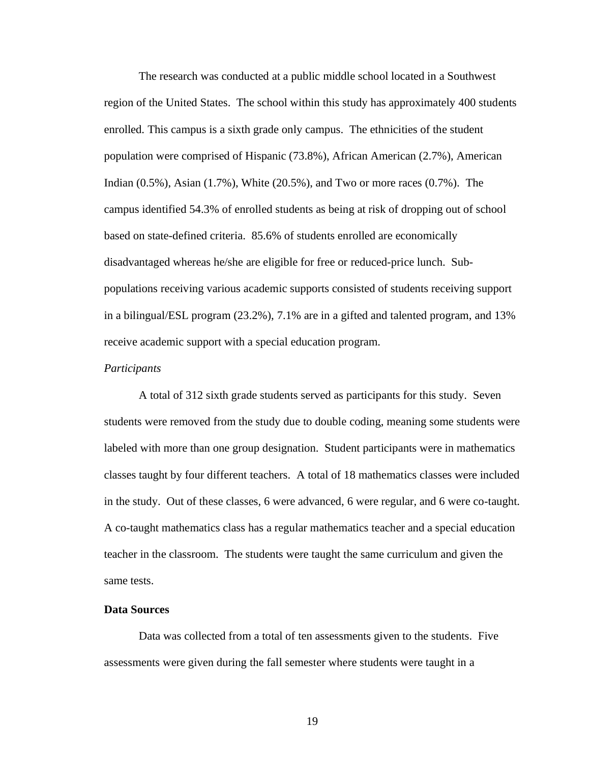The research was conducted at a public middle school located in a Southwest region of the United States. The school within this study has approximately 400 students enrolled. This campus is a sixth grade only campus. The ethnicities of the student population were comprised of Hispanic (73.8%), African American (2.7%), American Indian (0.5%), Asian (1.7%), White (20.5%), and Two or more races (0.7%). The campus identified 54.3% of enrolled students as being at risk of dropping out of school based on state-defined criteria. 85.6% of students enrolled are economically disadvantaged whereas he/she are eligible for free or reduced-price lunch. Subpopulations receiving various academic supports consisted of students receiving support in a bilingual/ESL program (23.2%), 7.1% are in a gifted and talented program, and 13% receive academic support with a special education program.

#### *Participants*

A total of 312 sixth grade students served as participants for this study. Seven students were removed from the study due to double coding, meaning some students were labeled with more than one group designation. Student participants were in mathematics classes taught by four different teachers. A total of 18 mathematics classes were included in the study. Out of these classes, 6 were advanced, 6 were regular, and 6 were co-taught. A co-taught mathematics class has a regular mathematics teacher and a special education teacher in the classroom. The students were taught the same curriculum and given the same tests.

## <span id="page-26-0"></span>**Data Sources**

Data was collected from a total of ten assessments given to the students. Five assessments were given during the fall semester where students were taught in a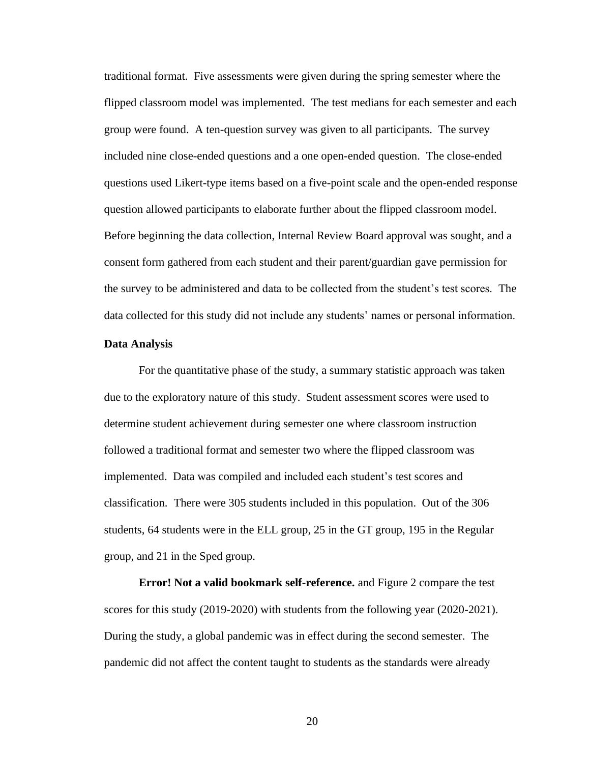traditional format. Five assessments were given during the spring semester where the flipped classroom model was implemented. The test medians for each semester and each group were found. A ten-question survey was given to all participants. The survey included nine close-ended questions and a one open-ended question. The close-ended questions used Likert-type items based on a five-point scale and the open-ended response question allowed participants to elaborate further about the flipped classroom model. Before beginning the data collection, Internal Review Board approval was sought, and a consent form gathered from each student and their parent/guardian gave permission for the survey to be administered and data to be collected from the student's test scores. The data collected for this study did not include any students' names or personal information.

## <span id="page-27-0"></span>**Data Analysis**

For the quantitative phase of the study, a summary statistic approach was taken due to the exploratory nature of this study. Student assessment scores were used to determine student achievement during semester one where classroom instruction followed a traditional format and semester two where the flipped classroom was implemented. Data was compiled and included each student's test scores and classification. There were 305 students included in this population. Out of the 306 students, 64 students were in the ELL group, 25 in the GT group, 195 in the Regular group, and 21 in the Sped group.

**Error! Not a valid bookmark self-reference.** and [Figure 2](#page-29-1) compare the test scores for this study (2019-2020) with students from the following year (2020-2021). During the study, a global pandemic was in effect during the second semester. The pandemic did not affect the content taught to students as the standards were already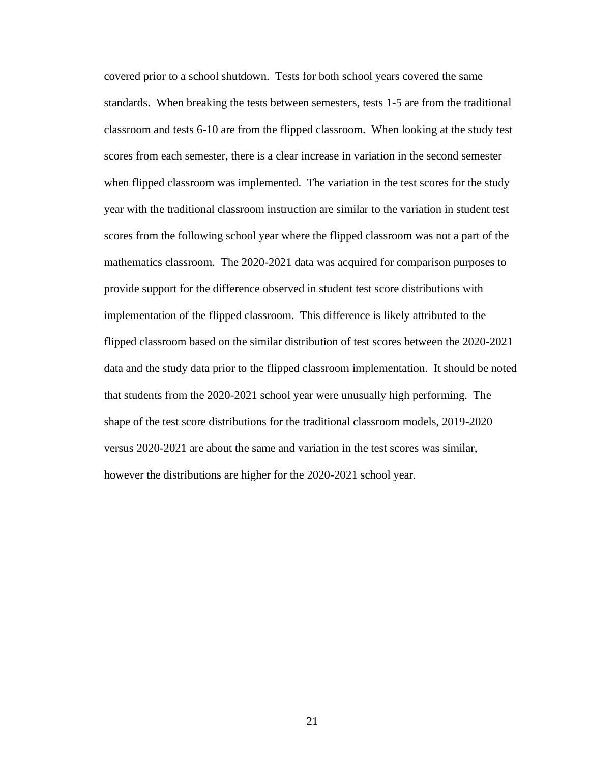covered prior to a school shutdown. Tests for both school years covered the same standards. When breaking the tests between semesters, tests 1-5 are from the traditional classroom and tests 6-10 are from the flipped classroom. When looking at the study test scores from each semester, there is a clear increase in variation in the second semester when flipped classroom was implemented. The variation in the test scores for the study year with the traditional classroom instruction are similar to the variation in student test scores from the following school year where the flipped classroom was not a part of the mathematics classroom. The 2020-2021 data was acquired for comparison purposes to provide support for the difference observed in student test score distributions with implementation of the flipped classroom. This difference is likely attributed to the flipped classroom based on the similar distribution of test scores between the 2020-2021 data and the study data prior to the flipped classroom implementation. It should be noted that students from the 2020-2021 school year were unusually high performing. The shape of the test score distributions for the traditional classroom models, 2019-2020 versus 2020-2021 are about the same and variation in the test scores was similar, however the distributions are higher for the 2020-2021 school year.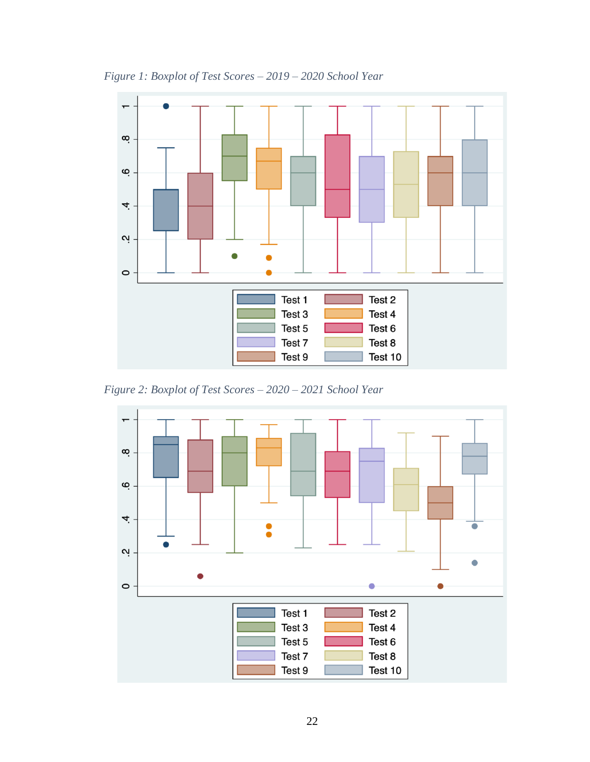

<span id="page-29-0"></span>*Figure 1: Boxplot of Test Scores – 2019 – 2020 School Year*

<span id="page-29-1"></span>*Figure 2: Boxplot of Test Scores – 2020 – 2021 School Year*

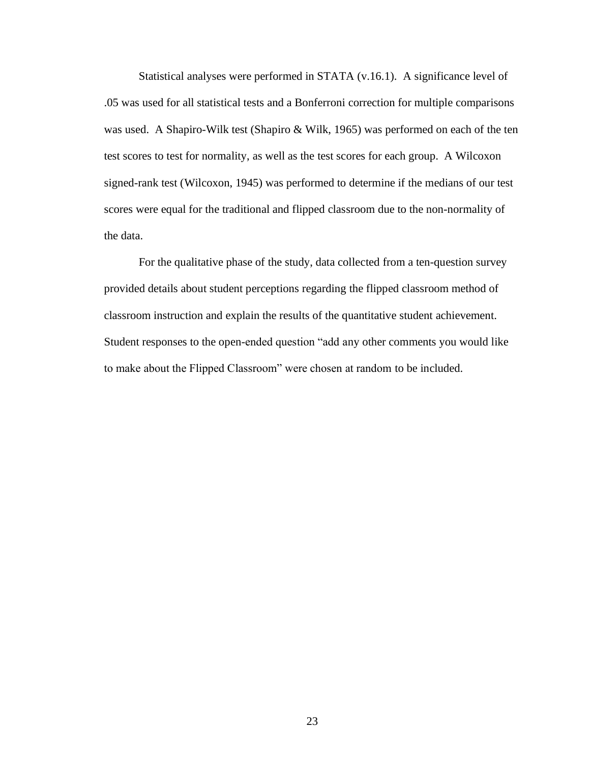Statistical analyses were performed in STATA (v.16.1). A significance level of .05 was used for all statistical tests and a Bonferroni correction for multiple comparisons was used. A Shapiro-Wilk test (Shapiro & Wilk, 1965) was performed on each of the ten test scores to test for normality, as well as the test scores for each group. A Wilcoxon signed-rank test (Wilcoxon, 1945) was performed to determine if the medians of our test scores were equal for the traditional and flipped classroom due to the non-normality of the data.

For the qualitative phase of the study, data collected from a ten-question survey provided details about student perceptions regarding the flipped classroom method of classroom instruction and explain the results of the quantitative student achievement. Student responses to the open-ended question "add any other comments you would like to make about the Flipped Classroom" were chosen at random to be included.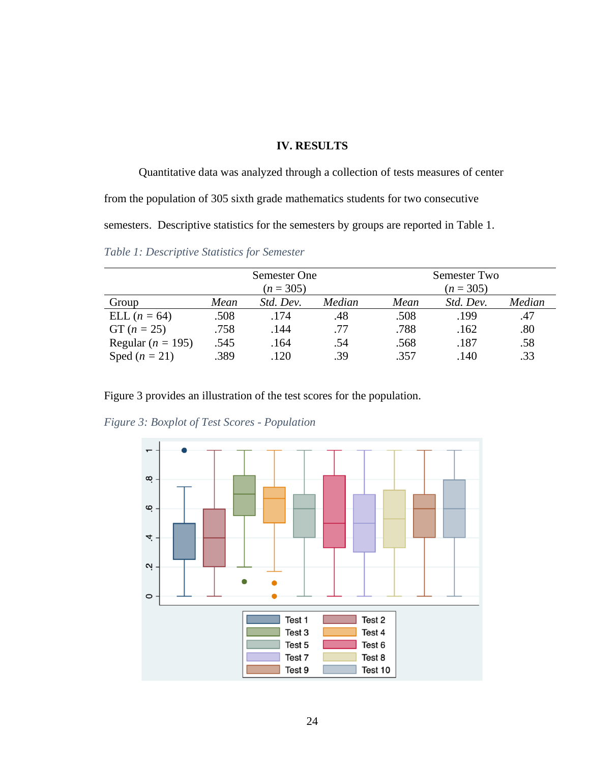## <span id="page-31-3"></span>**IV. RESULTS**

<span id="page-31-0"></span>Quantitative data was analyzed through a collection of tests measures of center from the population of 305 sixth grade mathematics students for two consecutive semesters. Descriptive statistics for the semesters by groups are reported in [Table 1.](#page-31-2)

<span id="page-31-2"></span>*Table 1: Descriptive Statistics for Semester*

|                       | Semester One<br>$(n = 305)$ |           |        | Semester Two |           |        |  |
|-----------------------|-----------------------------|-----------|--------|--------------|-----------|--------|--|
|                       |                             |           |        | $(n = 305)$  |           |        |  |
| Group                 | Mean                        | Std. Dev. | Median | Mean         | Std. Dev. | Median |  |
| ELL $(n = 64)$        | .508                        | .174      | .48    | .508         | .199      | .47    |  |
| $GT (n = 25)$         | .758                        | .144      | .77    | .788         | .162      | .80    |  |
| Regular ( $n = 195$ ) | .545                        | .164      | .54    | .568         | .187      | .58    |  |
| Sped $(n = 21)$       | .389                        | .120      | .39    | .357         | .140      | .33    |  |

[Figure 3](#page-31-3) provides an illustration of the test scores for the population.



<span id="page-31-1"></span>*Figure 3: Boxplot of Test Scores - Population*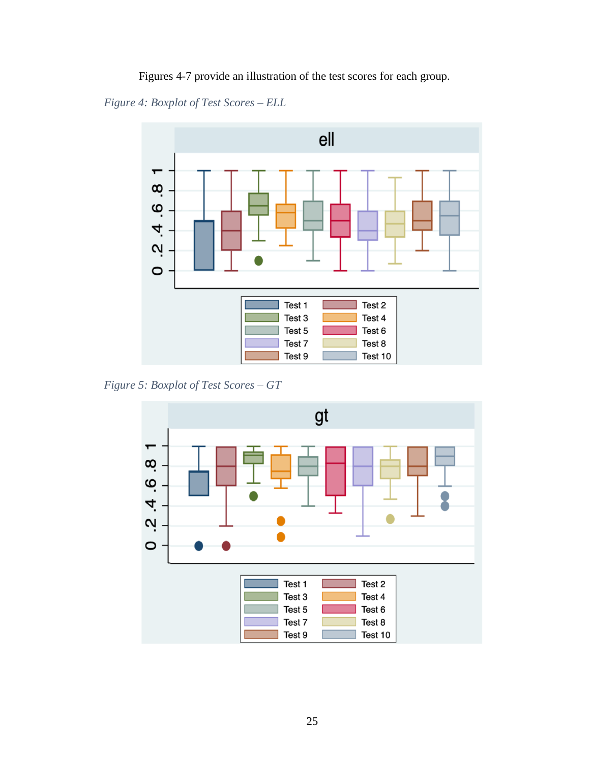Figures 4-7 provide an illustration of the test scores for each group.

<span id="page-32-0"></span>*Figure 4: Boxplot of Test Scores – ELL*



<span id="page-32-1"></span>*Figure 5: Boxplot of Test Scores – GT*

<span id="page-32-2"></span>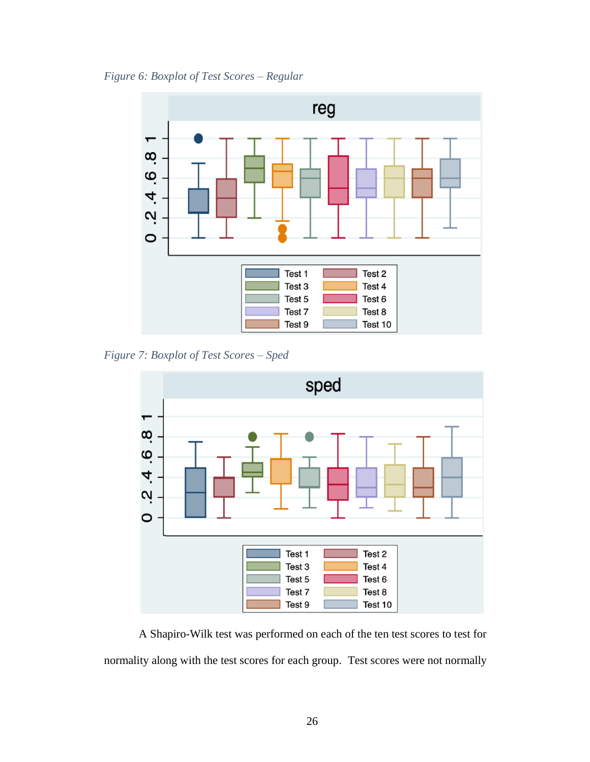*Figure 6: Boxplot of Test Scores – Regular*



<span id="page-33-0"></span>*Figure 7: Boxplot of Test Scores – Sped*



A Shapiro-Wilk test was performed on each of the ten test scores to test for normality along with the test scores for each group. Test scores were not normally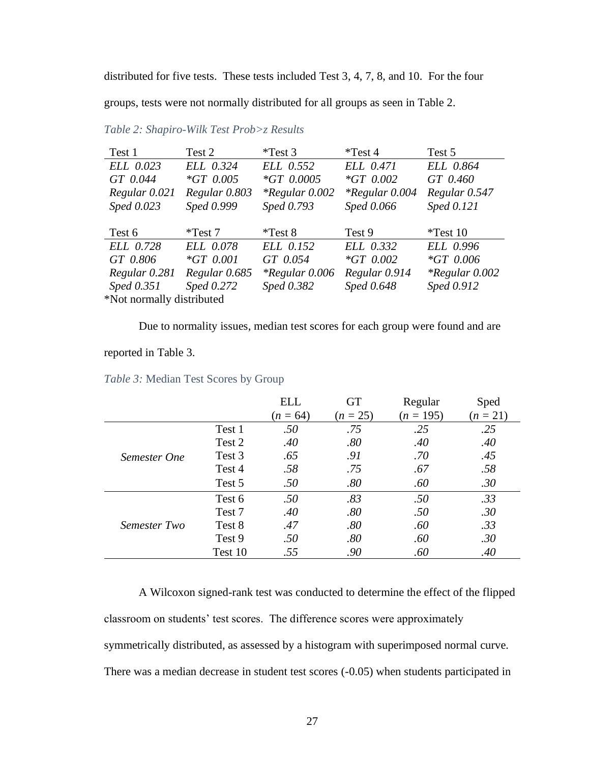distributed for five tests. These tests included Test 3, 4, 7, 8, and 10. For the four groups, tests were not normally distributed for all groups as seen in [Table 2.](#page-34-0)

| Test 1        | Test 2        | $*Test 3$             | $*Test 4$        | Test 5           |
|---------------|---------------|-----------------------|------------------|------------------|
| ELL 0.023     | ELL 0.324     | ELL 0.552             | ELL 0.471        | ELL 0.864        |
| GT 0.044      | $*GT$ 0.005   | $*GT$ 0.0005          | $*GT$ 0.002      | GT 0.460         |
| Regular 0.021 | Regular 0.803 | <i>*Regular</i> 0.002 | $*Regular 0.004$ | Regular 0.547    |
| Sped 0.023    | Sped 0.999    | Sped 0.793            | Sped 0.066       | Sped 0.121       |
|               |               |                       |                  |                  |
|               |               |                       |                  |                  |
| Test 6        | $*Test 7$     | $*Test 8$             | Test 9           | $*Test 10$       |
| ELL 0.728     | ELL 0.078     | ELL 0.152             | ELL 0.332        | ELL 0.996        |
| GT 0.806      | $*GT 0.001$   | GT 0.054              | $*GT$ 0.002      | $*GT$ 0.006      |
| Regular 0.281 | Regular 0.685 | $*Regular 0.006$      | Regular 0.914    | $*Regular 0.002$ |
| Sped 0.351    | Sped 0.272    | Sped 0.382            | Sped 0.648       | Sped 0.912       |

<span id="page-34-0"></span>*Table 2: Shapiro-Wilk Test Prob>z Results*

Due to normality issues, median test scores for each group were found and are

## reported in [Table 3.](#page-34-1)

<span id="page-34-1"></span>*Table 3:* Median Test Scores by Group

|              |         | <b>ELL</b> | GT         | Regular     | Sped       |
|--------------|---------|------------|------------|-------------|------------|
|              |         | $(n = 64)$ | $(n = 25)$ | $(n = 195)$ | $(n = 21)$ |
|              | Test 1  | .50        | .75        | .25         | .25        |
|              | Test 2  | .40        | .80        | .40         | .40        |
| Semester One | Test 3  | .65        | .91        | .70         | .45        |
|              | Test 4  | .58        | .75        | .67         | .58        |
|              | Test 5  | .50        | .80        | .60         | .30        |
|              | Test 6  | .50        | .83        | .50         | .33        |
| Semester Two | Test 7  | .40        | .80        | .50         | .30        |
|              | Test 8  | .47        | .80        | .60         | .33        |
|              | Test 9  | .50        | .80        | .60         | .30        |
|              | Test 10 | .55        | .90        | .60         | .40        |

A Wilcoxon signed-rank test was conducted to determine the effect of the flipped classroom on students' test scores. The difference scores were approximately symmetrically distributed, as assessed by a histogram with superimposed normal curve. There was a median decrease in student test scores (-0.05) when students participated in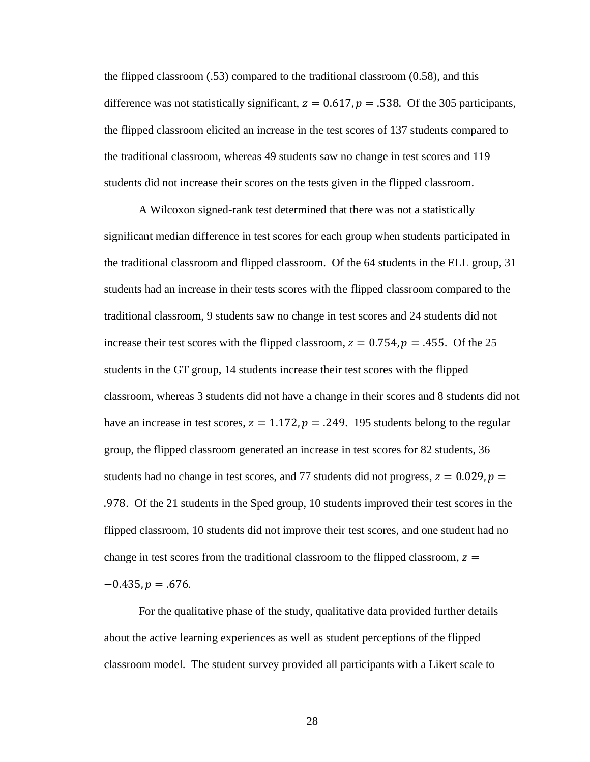the flipped classroom  $(.53)$  compared to the traditional classroom  $(0.58)$ , and this difference was not statistically significant,  $z = 0.617$ ,  $p = .538$ . Of the 305 participants, the flipped classroom elicited an increase in the test scores of 137 students compared to the traditional classroom, whereas 49 students saw no change in test scores and 119 students did not increase their scores on the tests given in the flipped classroom.

A Wilcoxon signed-rank test determined that there was not a statistically significant median difference in test scores for each group when students participated in the traditional classroom and flipped classroom. Of the 64 students in the ELL group, 31 students had an increase in their tests scores with the flipped classroom compared to the traditional classroom, 9 students saw no change in test scores and 24 students did not increase their test scores with the flipped classroom,  $z = 0.754$ ,  $p = 0.455$ . Of the 25 students in the GT group, 14 students increase their test scores with the flipped classroom, whereas 3 students did not have a change in their scores and 8 students did not have an increase in test scores,  $z = 1.172$ ,  $p = .249$ . 195 students belong to the regular group, the flipped classroom generated an increase in test scores for 82 students, 36 students had no change in test scores, and 77 students did not progress,  $z = 0.029$ ,  $p =$ .978. Of the 21 students in the Sped group, 10 students improved their test scores in the flipped classroom, 10 students did not improve their test scores, and one student had no change in test scores from the traditional classroom to the flipped classroom,  $z =$  $-0.435, p = .676.$ 

For the qualitative phase of the study, qualitative data provided further details about the active learning experiences as well as student perceptions of the flipped classroom model. The student survey provided all participants with a Likert scale to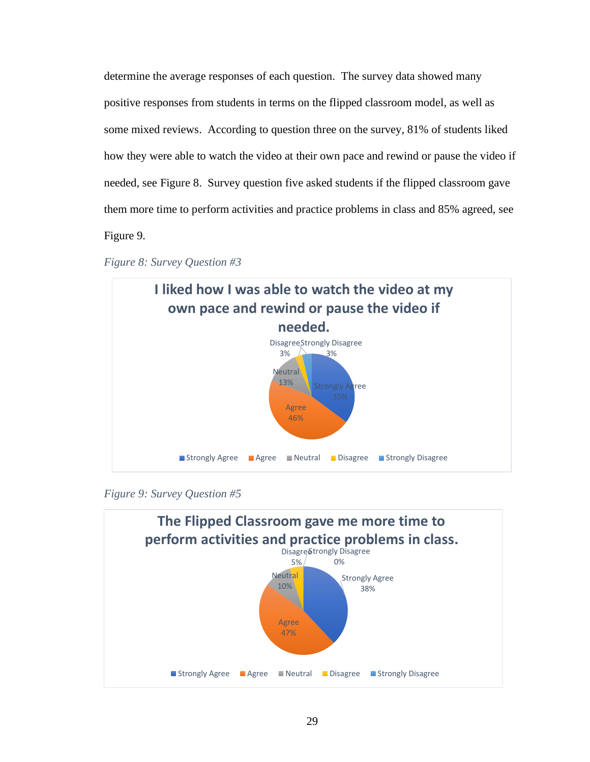determine the average responses of each question. The survey data showed many positive responses from students in terms on the flipped classroom model, as well as some mixed reviews. According to question three on the survey, 81% of students liked how they were able to watch the video at their own pace and rewind or pause the video if needed, see [Figure 8.](#page-36-0) Survey question five asked students if the flipped classroom gave them more time to perform activities and practice problems in class and 85% agreed, see [Figure 9.](#page-36-1)

<span id="page-36-0"></span>



<span id="page-36-1"></span>*Figure 9: Survey Question #5*

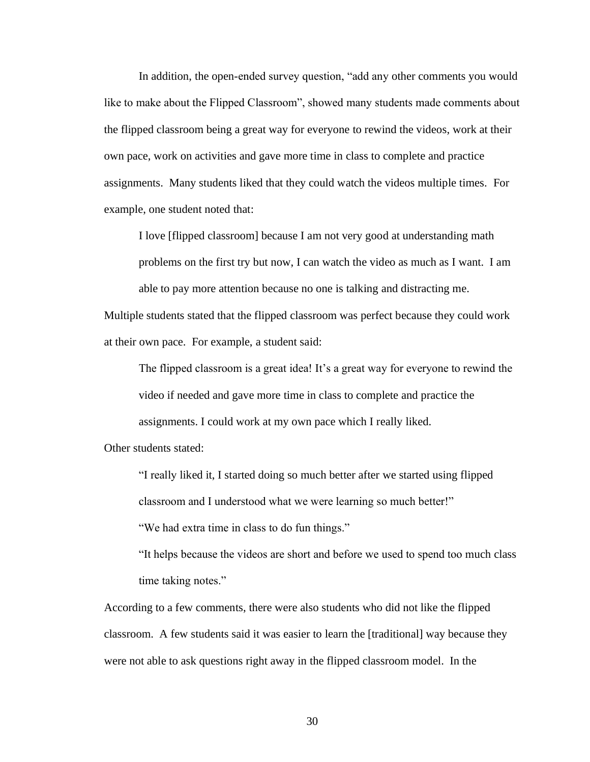In addition, the open-ended survey question, "add any other comments you would like to make about the Flipped Classroom", showed many students made comments about the flipped classroom being a great way for everyone to rewind the videos, work at their own pace, work on activities and gave more time in class to complete and practice assignments. Many students liked that they could watch the videos multiple times. For example, one student noted that:

I love [flipped classroom] because I am not very good at understanding math problems on the first try but now, I can watch the video as much as I want. I am able to pay more attention because no one is talking and distracting me.

Multiple students stated that the flipped classroom was perfect because they could work at their own pace. For example, a student said:

The flipped classroom is a great idea! It's a great way for everyone to rewind the video if needed and gave more time in class to complete and practice the assignments. I could work at my own pace which I really liked.

Other students stated:

"I really liked it, I started doing so much better after we started using flipped classroom and I understood what we were learning so much better!"

"We had extra time in class to do fun things."

"It helps because the videos are short and before we used to spend too much class time taking notes."

According to a few comments, there were also students who did not like the flipped classroom. A few students said it was easier to learn the [traditional] way because they were not able to ask questions right away in the flipped classroom model. In the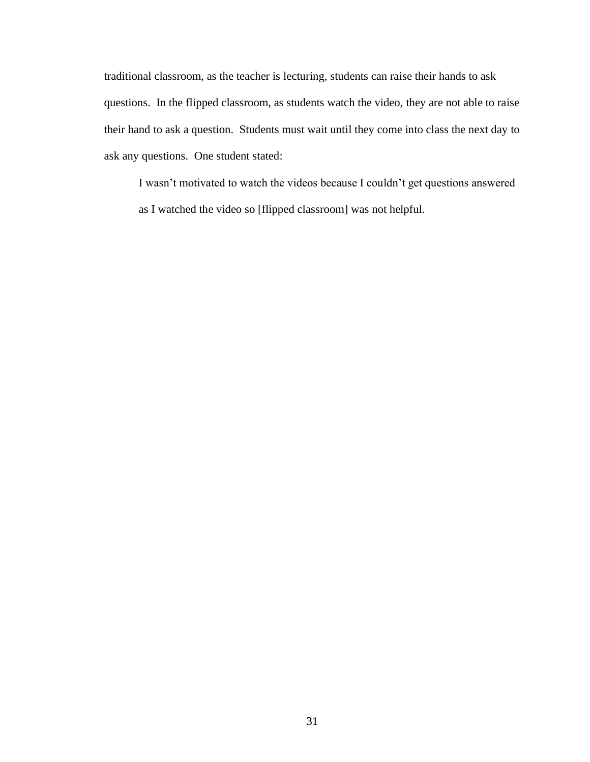traditional classroom, as the teacher is lecturing, students can raise their hands to ask questions. In the flipped classroom, as students watch the video, they are not able to raise their hand to ask a question. Students must wait until they come into class the next day to ask any questions. One student stated:

I wasn't motivated to watch the videos because I couldn't get questions answered as I watched the video so [flipped classroom] was not helpful.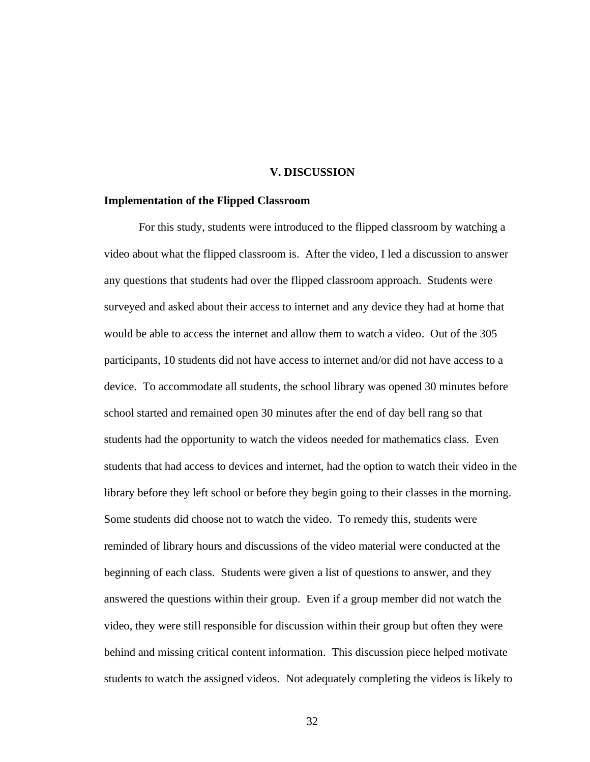### **V. DISCUSSION**

#### <span id="page-39-1"></span><span id="page-39-0"></span>**Implementation of the Flipped Classroom**

For this study, students were introduced to the flipped classroom by watching a video about what the flipped classroom is. After the video, I led a discussion to answer any questions that students had over the flipped classroom approach. Students were surveyed and asked about their access to internet and any device they had at home that would be able to access the internet and allow them to watch a video. Out of the 305 participants, 10 students did not have access to internet and/or did not have access to a device. To accommodate all students, the school library was opened 30 minutes before school started and remained open 30 minutes after the end of day bell rang so that students had the opportunity to watch the videos needed for mathematics class. Even students that had access to devices and internet, had the option to watch their video in the library before they left school or before they begin going to their classes in the morning. Some students did choose not to watch the video. To remedy this, students were reminded of library hours and discussions of the video material were conducted at the beginning of each class. Students were given a list of questions to answer, and they answered the questions within their group. Even if a group member did not watch the video, they were still responsible for discussion within their group but often they were behind and missing critical content information. This discussion piece helped motivate students to watch the assigned videos. Not adequately completing the videos is likely to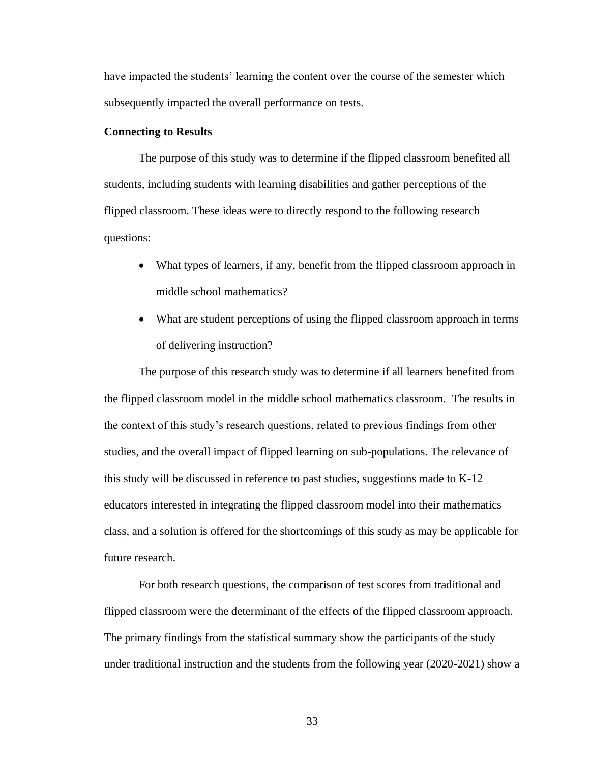have impacted the students' learning the content over the course of the semester which subsequently impacted the overall performance on tests.

## <span id="page-40-0"></span>**Connecting to Results**

The purpose of this study was to determine if the flipped classroom benefited all students, including students with learning disabilities and gather perceptions of the flipped classroom. These ideas were to directly respond to the following research questions:

- What types of learners, if any, benefit from the flipped classroom approach in middle school mathematics?
- What are student perceptions of using the flipped classroom approach in terms of delivering instruction?

The purpose of this research study was to determine if all learners benefited from the flipped classroom model in the middle school mathematics classroom. The results in the context of this study's research questions, related to previous findings from other studies, and the overall impact of flipped learning on sub-populations. The relevance of this study will be discussed in reference to past studies, suggestions made to K-12 educators interested in integrating the flipped classroom model into their mathematics class, and a solution is offered for the shortcomings of this study as may be applicable for future research.

For both research questions, the comparison of test scores from traditional and flipped classroom were the determinant of the effects of the flipped classroom approach. The primary findings from the statistical summary show the participants of the study under traditional instruction and the students from the following year (2020-2021) show a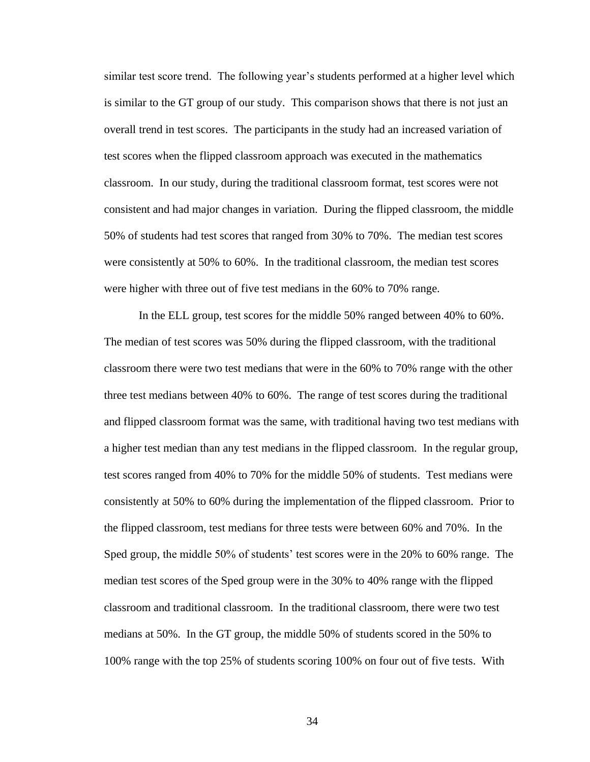similar test score trend. The following year's students performed at a higher level which is similar to the GT group of our study. This comparison shows that there is not just an overall trend in test scores. The participants in the study had an increased variation of test scores when the flipped classroom approach was executed in the mathematics classroom. In our study, during the traditional classroom format, test scores were not consistent and had major changes in variation. During the flipped classroom, the middle 50% of students had test scores that ranged from 30% to 70%. The median test scores were consistently at 50% to 60%. In the traditional classroom, the median test scores were higher with three out of five test medians in the 60% to 70% range.

In the ELL group, test scores for the middle 50% ranged between 40% to 60%. The median of test scores was 50% during the flipped classroom, with the traditional classroom there were two test medians that were in the 60% to 70% range with the other three test medians between 40% to 60%. The range of test scores during the traditional and flipped classroom format was the same, with traditional having two test medians with a higher test median than any test medians in the flipped classroom. In the regular group, test scores ranged from 40% to 70% for the middle 50% of students. Test medians were consistently at 50% to 60% during the implementation of the flipped classroom. Prior to the flipped classroom, test medians for three tests were between 60% and 70%. In the Sped group, the middle 50% of students' test scores were in the 20% to 60% range. The median test scores of the Sped group were in the 30% to 40% range with the flipped classroom and traditional classroom. In the traditional classroom, there were two test medians at 50%. In the GT group, the middle 50% of students scored in the 50% to 100% range with the top 25% of students scoring 100% on four out of five tests. With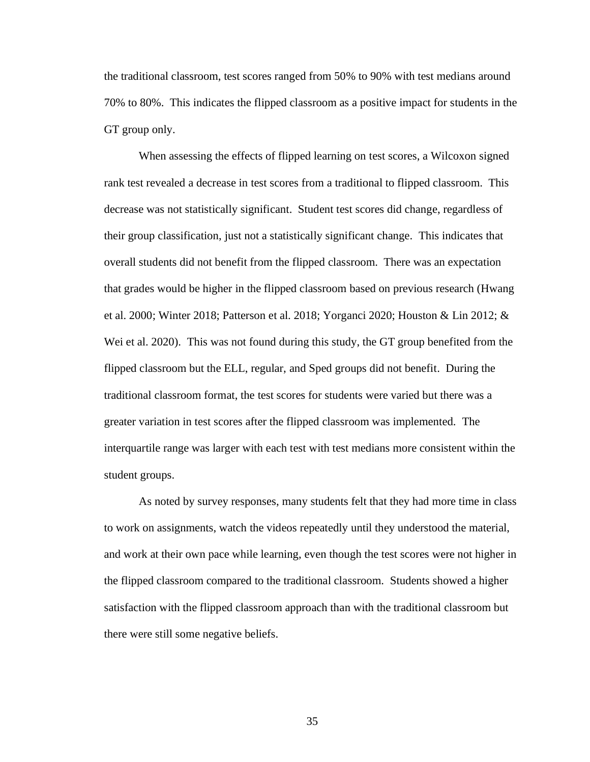the traditional classroom, test scores ranged from 50% to 90% with test medians around 70% to 80%. This indicates the flipped classroom as a positive impact for students in the GT group only.

When assessing the effects of flipped learning on test scores, a Wilcoxon signed rank test revealed a decrease in test scores from a traditional to flipped classroom. This decrease was not statistically significant. Student test scores did change, regardless of their group classification, just not a statistically significant change. This indicates that overall students did not benefit from the flipped classroom. There was an expectation that grades would be higher in the flipped classroom based on previous research (Hwang et al. 2000; Winter 2018; Patterson et al. 2018; Yorganci 2020; Houston & Lin 2012; & Wei et al. 2020). This was not found during this study, the GT group benefited from the flipped classroom but the ELL, regular, and Sped groups did not benefit. During the traditional classroom format, the test scores for students were varied but there was a greater variation in test scores after the flipped classroom was implemented. The interquartile range was larger with each test with test medians more consistent within the student groups.

As noted by survey responses, many students felt that they had more time in class to work on assignments, watch the videos repeatedly until they understood the material, and work at their own pace while learning, even though the test scores were not higher in the flipped classroom compared to the traditional classroom. Students showed a higher satisfaction with the flipped classroom approach than with the traditional classroom but there were still some negative beliefs.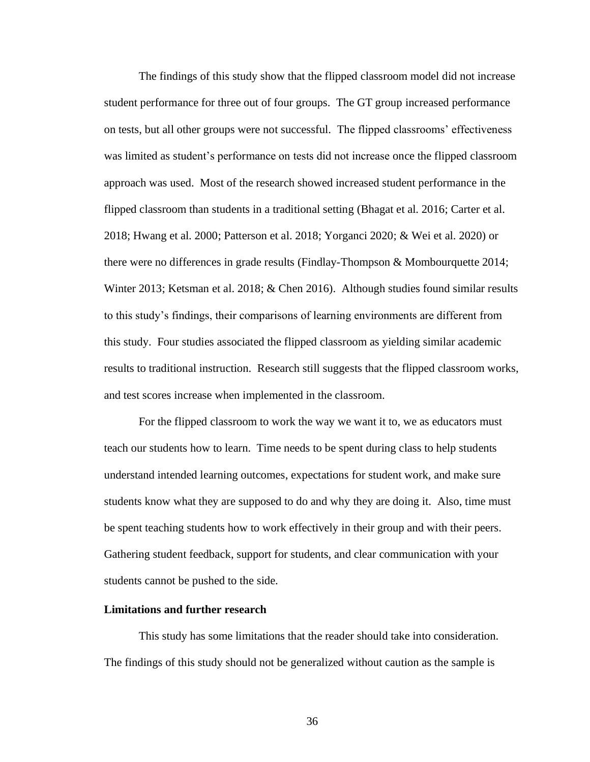The findings of this study show that the flipped classroom model did not increase student performance for three out of four groups. The GT group increased performance on tests, but all other groups were not successful. The flipped classrooms' effectiveness was limited as student's performance on tests did not increase once the flipped classroom approach was used. Most of the research showed increased student performance in the flipped classroom than students in a traditional setting (Bhagat et al. 2016; Carter et al. 2018; Hwang et al. 2000; Patterson et al. 2018; Yorganci 2020; & Wei et al. 2020) or there were no differences in grade results (Findlay-Thompson & Mombourquette 2014; Winter 2013; Ketsman et al. 2018; & Chen 2016). Although studies found similar results to this study's findings, their comparisons of learning environments are different from this study. Four studies associated the flipped classroom as yielding similar academic results to traditional instruction. Research still suggests that the flipped classroom works, and test scores increase when implemented in the classroom.

For the flipped classroom to work the way we want it to, we as educators must teach our students how to learn. Time needs to be spent during class to help students understand intended learning outcomes, expectations for student work, and make sure students know what they are supposed to do and why they are doing it. Also, time must be spent teaching students how to work effectively in their group and with their peers. Gathering student feedback, support for students, and clear communication with your students cannot be pushed to the side.

### <span id="page-43-0"></span>**Limitations and further research**

This study has some limitations that the reader should take into consideration. The findings of this study should not be generalized without caution as the sample is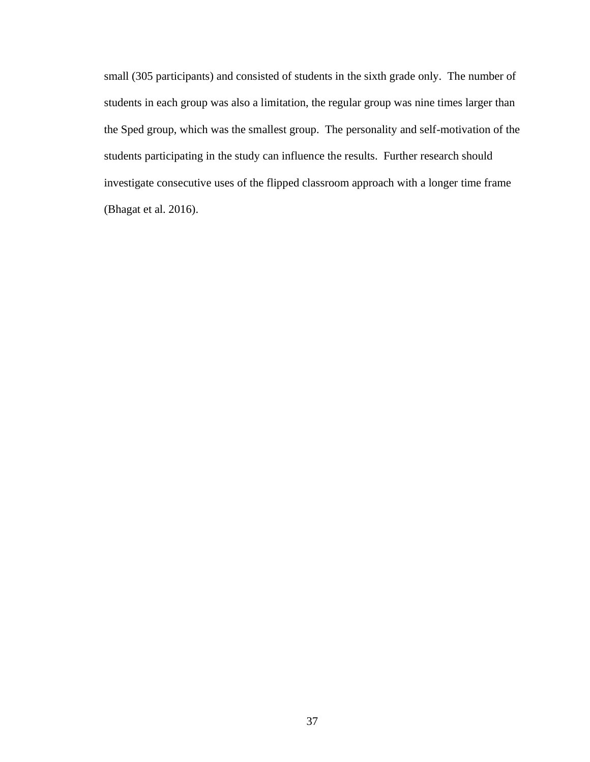small (305 participants) and consisted of students in the sixth grade only. The number of students in each group was also a limitation, the regular group was nine times larger than the Sped group, which was the smallest group. The personality and self-motivation of the students participating in the study can influence the results. Further research should investigate consecutive uses of the flipped classroom approach with a longer time frame (Bhagat et al. 2016).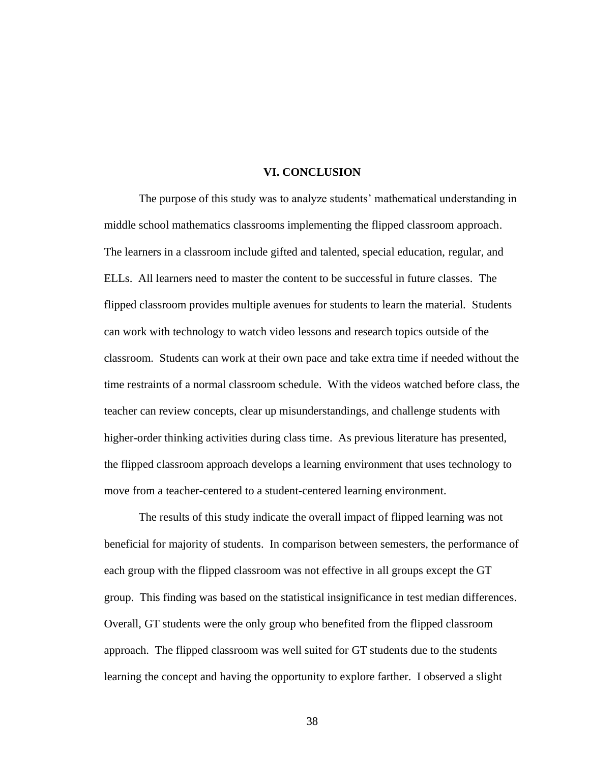## **VI. CONCLUSION**

<span id="page-45-0"></span>The purpose of this study was to analyze students' mathematical understanding in middle school mathematics classrooms implementing the flipped classroom approach. The learners in a classroom include gifted and talented, special education, regular, and ELLs. All learners need to master the content to be successful in future classes. The flipped classroom provides multiple avenues for students to learn the material. Students can work with technology to watch video lessons and research topics outside of the classroom. Students can work at their own pace and take extra time if needed without the time restraints of a normal classroom schedule. With the videos watched before class, the teacher can review concepts, clear up misunderstandings, and challenge students with higher-order thinking activities during class time. As previous literature has presented, the flipped classroom approach develops a learning environment that uses technology to move from a teacher-centered to a student-centered learning environment.

The results of this study indicate the overall impact of flipped learning was not beneficial for majority of students. In comparison between semesters, the performance of each group with the flipped classroom was not effective in all groups except the GT group. This finding was based on the statistical insignificance in test median differences. Overall, GT students were the only group who benefited from the flipped classroom approach. The flipped classroom was well suited for GT students due to the students learning the concept and having the opportunity to explore farther. I observed a slight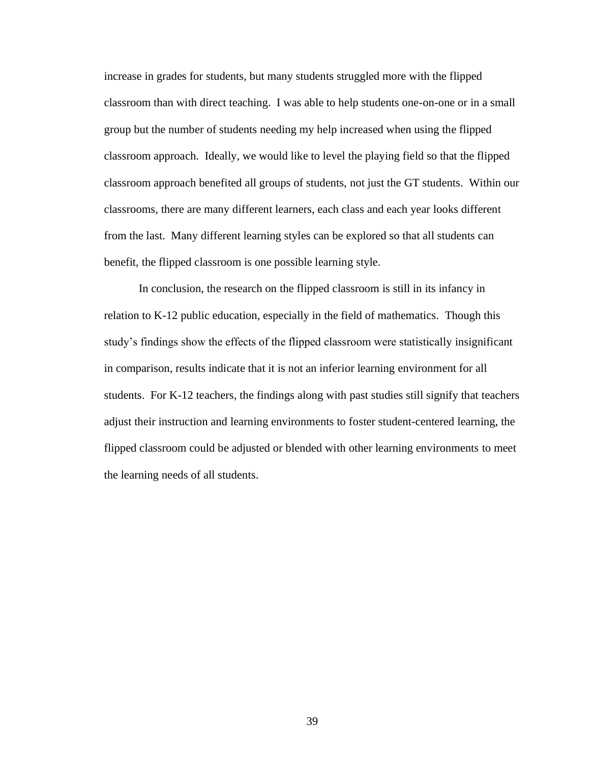increase in grades for students, but many students struggled more with the flipped classroom than with direct teaching. I was able to help students one-on-one or in a small group but the number of students needing my help increased when using the flipped classroom approach. Ideally, we would like to level the playing field so that the flipped classroom approach benefited all groups of students, not just the GT students. Within our classrooms, there are many different learners, each class and each year looks different from the last. Many different learning styles can be explored so that all students can benefit, the flipped classroom is one possible learning style.

In conclusion, the research on the flipped classroom is still in its infancy in relation to K-12 public education, especially in the field of mathematics. Though this study's findings show the effects of the flipped classroom were statistically insignificant in comparison, results indicate that it is not an inferior learning environment for all students. For K-12 teachers, the findings along with past studies still signify that teachers adjust their instruction and learning environments to foster student-centered learning, the flipped classroom could be adjusted or blended with other learning environments to meet the learning needs of all students.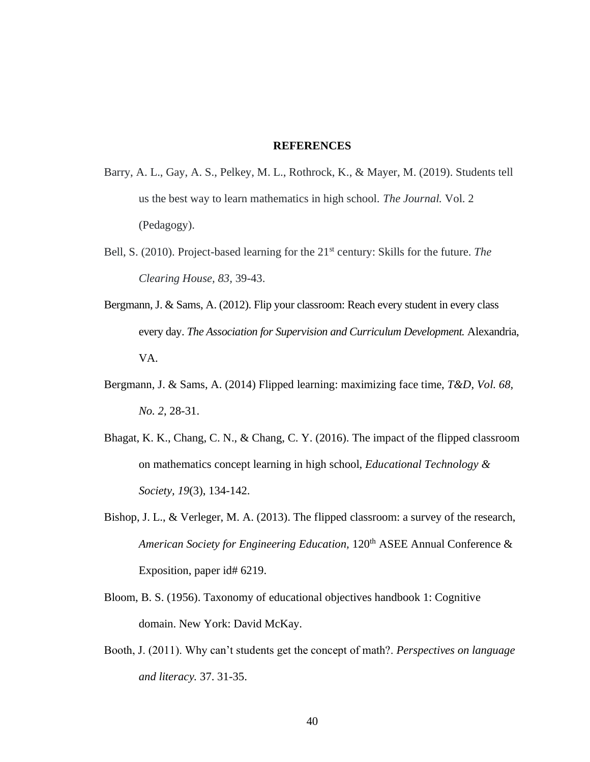## **REFERENCES**

- <span id="page-47-0"></span>Barry, A. L., Gay, A. S., Pelkey, M. L., Rothrock, K., & Mayer, M. (2019). Students tell us the best way to learn mathematics in high school. *The Journal.* Vol. 2 (Pedagogy).
- Bell, S. (2010). Project-based learning for the 21<sup>st</sup> century: Skills for the future. *The Clearing House, 83,* 39-43.
- Bergmann, J. & Sams, A. (2012). Flip your classroom: Reach every student in every class every day. *The Association for Supervision and Curriculum Development.* Alexandria, VA.
- Bergmann, J. & Sams, A. (2014) Flipped learning: maximizing face time, *T&D*, *Vol. 68, No. 2*, 28-31.
- Bhagat, K. K., Chang, C. N., & Chang, C. Y. (2016). The impact of the flipped classroom on mathematics concept learning in high school, *Educational Technology & Society, 19*(3), 134-142.
- Bishop, J. L., & Verleger, M. A. (2013). The flipped classroom: a survey of the research, *American Society for Engineering Education,* 120th ASEE Annual Conference & Exposition, paper id# 6219.
- Bloom, B. S. (1956). Taxonomy of educational objectives handbook 1: Cognitive domain. New York: David McKay.
- Booth, J. (2011). Why can't students get the concept of math?. *Perspectives on language and literacy.* 37. 31-35.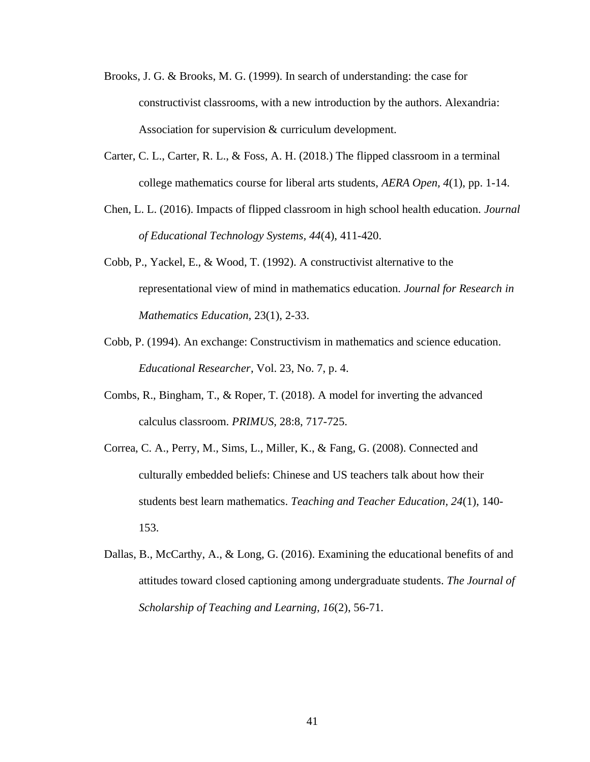- Brooks, J. G. & Brooks, M. G. (1999). In search of understanding: the case for constructivist classrooms, with a new introduction by the authors. Alexandria: Association for supervision & curriculum development.
- Carter, C. L., Carter, R. L., & Foss, A. H. (2018.) The flipped classroom in a terminal college mathematics course for liberal arts students, *AERA Open, 4*(1), pp. 1-14.
- Chen, L. L. (2016). Impacts of flipped classroom in high school health education. *Journal of Educational Technology Systems, 44*(4), 411-420.
- Cobb, P., Yackel, E., & Wood, T. (1992). A constructivist alternative to the representational view of mind in mathematics education. *Journal for Research in Mathematics Education,* 23(1), 2-33.
- Cobb, P. (1994). An exchange: Constructivism in mathematics and science education. *Educational Researcher*, Vol. 23, No. 7, p. 4.
- Combs, R., Bingham, T., & Roper, T. (2018). A model for inverting the advanced calculus classroom. *PRIMUS,* 28:8, 717-725.
- Correa, C. A., Perry, M., Sims, L., Miller, K., & Fang, G. (2008). Connected and culturally embedded beliefs: Chinese and US teachers talk about how their students best learn mathematics. *Teaching and Teacher Education, 24*(1), 140- 153.
- Dallas, B., McCarthy, A., & Long, G. (2016). Examining the educational benefits of and attitudes toward closed captioning among undergraduate students. *The Journal of Scholarship of Teaching and Learning, 16*(2), 56-71.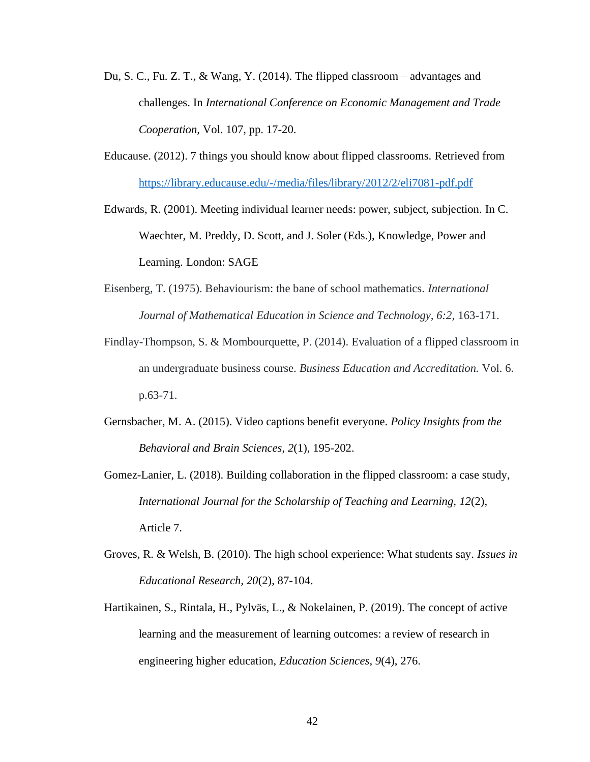- Du, S. C., Fu. Z. T., & Wang, Y. (2014). The flipped classroom advantages and challenges. In *International Conference on Economic Management and Trade Cooperation,* Vol. 107, pp. 17-20.
- Educause. (2012). 7 things you should know about flipped classrooms. Retrieved from <https://library.educause.edu/-/media/files/library/2012/2/eli7081-pdf.pdf>
- Edwards, R. (2001). Meeting individual learner needs: power, subject, subjection. In C. Waechter, M. Preddy, D. Scott, and J. Soler (Eds.), Knowledge, Power and Learning. London: SAGE
- Eisenberg, T. (1975). Behaviourism: the bane of school mathematics. *International Journal of Mathematical Education in Science and Technology, 6:2,* 163-171.
- Findlay-Thompson, S. & Mombourquette, P. (2014). Evaluation of a flipped classroom in an undergraduate business course. *Business Education and Accreditation.* Vol. 6. p.63-71.
- Gernsbacher, M. A. (2015). Video captions benefit everyone. *Policy Insights from the Behavioral and Brain Sciences, 2*(1), 195-202.
- Gomez-Lanier, L. (2018). Building collaboration in the flipped classroom: a case study, *International Journal for the Scholarship of Teaching and Learning, 12*(2), Article 7.
- Groves, R. & Welsh, B. (2010). The high school experience: What students say. *Issues in Educational Research, 20*(2), 87-104.
- Hartikainen, S., Rintala, H., Pylväs, L., & Nokelainen, P. (2019). The concept of active learning and the measurement of learning outcomes: a review of research in engineering higher education, *Education Sciences, 9*(4), 276.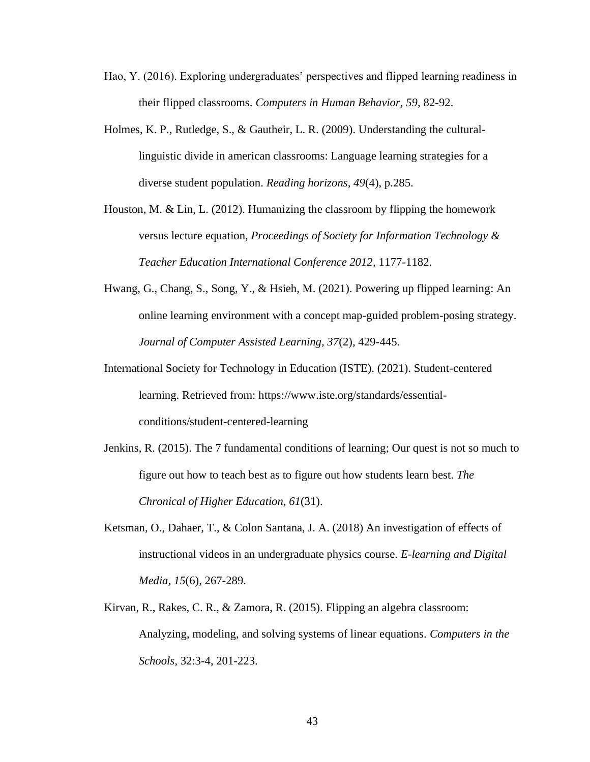- Hao, Y. (2016). Exploring undergraduates' perspectives and flipped learning readiness in their flipped classrooms. *Computers in Human Behavior, 59,* 82-92.
- Holmes, K. P., Rutledge, S., & Gautheir, L. R. (2009). Understanding the culturallinguistic divide in american classrooms: Language learning strategies for a diverse student population. *Reading horizons, 49*(4), p.285.
- Houston, M. & Lin, L. (2012). Humanizing the classroom by flipping the homework versus lecture equation, *Proceedings of Society for Information Technology & Teacher Education International Conference 2012,* 1177-1182.
- Hwang, G., Chang, S., Song, Y., & Hsieh, M. (2021). Powering up flipped learning: An online learning environment with a concept map-guided problem-posing strategy. *Journal of Computer Assisted Learning, 37*(2), 429-445.
- International Society for Technology in Education (ISTE). (2021). Student-centered learning. Retrieved from: https://www.iste.org/standards/essentialconditions/student-centered-learning
- Jenkins, R. (2015). The 7 fundamental conditions of learning; Our quest is not so much to figure out how to teach best as to figure out how students learn best. *The Chronical of Higher Education, 61*(31).
- Ketsman, O., Dahaer, T., & Colon Santana, J. A. (2018) An investigation of effects of instructional videos in an undergraduate physics course. *E-learning and Digital Media, 15*(6), 267-289.
- Kirvan, R., Rakes, C. R., & Zamora, R. (2015). Flipping an algebra classroom: Analyzing, modeling, and solving systems of linear equations. *Computers in the Schools,* 32:3-4, 201-223.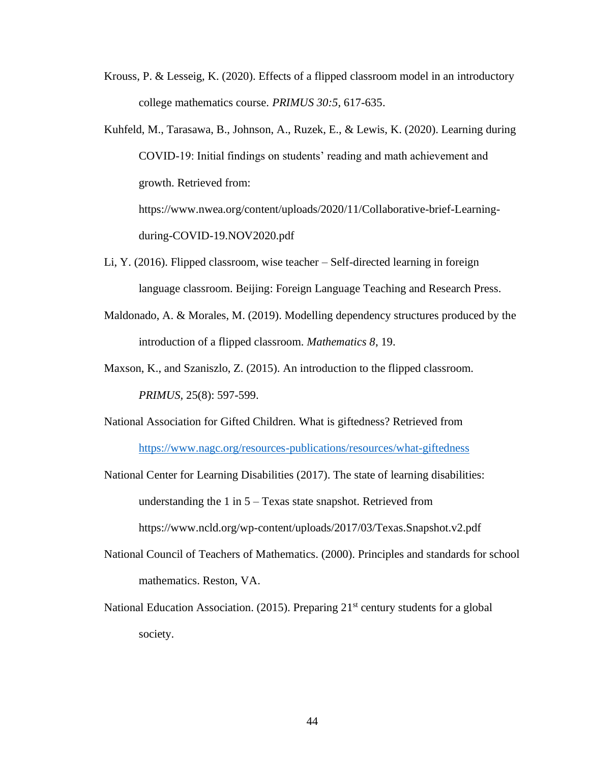- Krouss, P. & Lesseig, K. (2020). Effects of a flipped classroom model in an introductory college mathematics course. *PRIMUS 30:5*, 617-635.
- Kuhfeld, M., Tarasawa, B., Johnson, A., Ruzek, E., & Lewis, K. (2020). Learning during COVID-19: Initial findings on students' reading and math achievement and growth. Retrieved from: https://www.nwea.org/content/uploads/2020/11/Collaborative-brief-Learningduring-COVID-19.NOV2020.pdf
- Li, Y. (2016). Flipped classroom, wise teacher Self-directed learning in foreign language classroom. Beijing: Foreign Language Teaching and Research Press.
- Maldonado, A. & Morales, M. (2019). Modelling dependency structures produced by the introduction of a flipped classroom. *Mathematics 8*, 19.
- Maxson, K., and Szaniszlo, Z. (2015). An introduction to the flipped classroom. *PRIMUS,* 25(8): 597-599.
- National Association for Gifted Children. What is giftedness? Retrieved from <https://www.nagc.org/resources-publications/resources/what-giftedness>
- National Center for Learning Disabilities (2017). The state of learning disabilities: understanding the 1 in 5 – Texas state snapshot. Retrieved from https://www.ncld.org/wp-content/uploads/2017/03/Texas.Snapshot.v2.pdf
- National Council of Teachers of Mathematics. (2000). Principles and standards for school mathematics. Reston, VA.
- National Education Association. (2015). Preparing  $21<sup>st</sup>$  century students for a global society.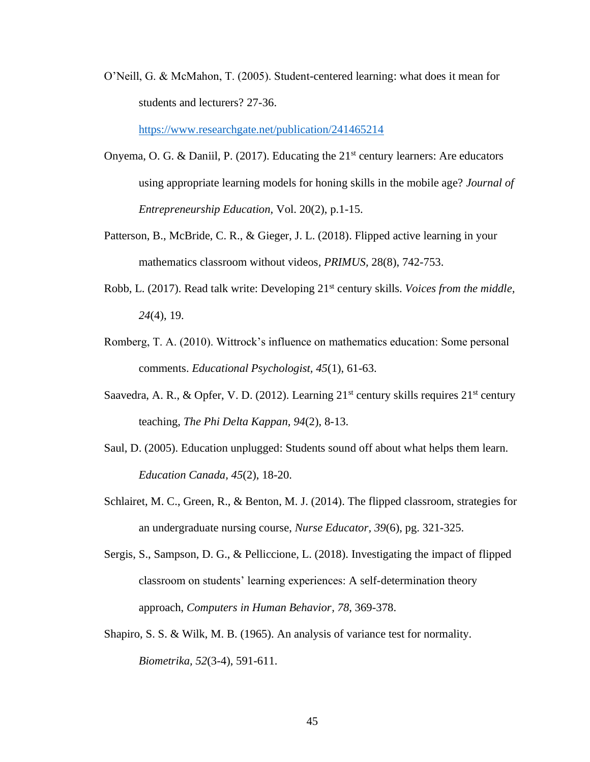O'Neill, G. & McMahon, T. (2005). Student-centered learning: what does it mean for students and lecturers? 27-36.

<https://www.researchgate.net/publication/241465214>

- Onyema, O. G. & Daniil, P. (2017). Educating the  $21<sup>st</sup>$  century learners: Are educators using appropriate learning models for honing skills in the mobile age? *Journal of Entrepreneurship Education,* Vol. 20(2), p.1-15.
- Patterson, B., McBride, C. R., & Gieger, J. L. (2018). Flipped active learning in your mathematics classroom without videos*, PRIMUS,* 28(8), 742-753.
- Robb, L. (2017). Read talk write: Developing 21st century skills. *Voices from the middle, 24*(4), 19.
- Romberg, T. A. (2010). Wittrock's influence on mathematics education: Some personal comments. *Educational Psychologist, 45*(1), 61-63.
- Saavedra, A. R., & Opfer, V. D. (2012). Learning  $21^{st}$  century skills requires  $21^{st}$  century teaching, *The Phi Delta Kappan, 94*(2), 8-13.
- Saul, D. (2005). Education unplugged: Students sound off about what helps them learn. *Education Canada, 45*(2), 18-20.
- Schlairet, M. C., Green, R., & Benton, M. J. (2014). The flipped classroom, strategies for an undergraduate nursing course, *Nurse Educator, 39*(6), pg. 321-325.
- Sergis, S., Sampson, D. G., & Pelliccione, L. (2018). Investigating the impact of flipped classroom on students' learning experiences: A self-determination theory approach, *Computers in Human Behavior, 78*, 369-378.
- Shapiro, S. S. & Wilk, M. B. (1965). An analysis of variance test for normality. *Biometrika, 52*(3-4), 591-611.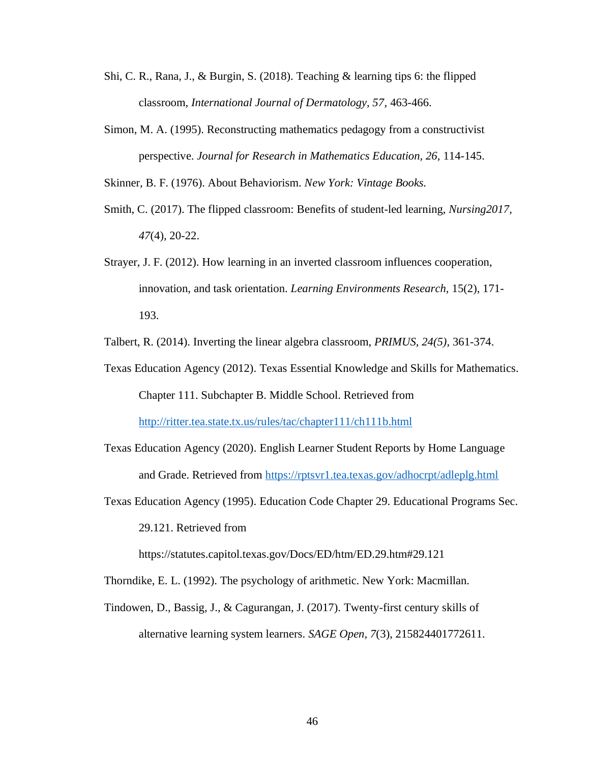- Shi, C. R., Rana, J., & Burgin, S. (2018). Teaching & learning tips 6: the flipped classroom, *International Journal of Dermatology, 57,* 463-466.
- Simon, M. A. (1995). Reconstructing mathematics pedagogy from a constructivist perspective. *Journal for Research in Mathematics Education, 26,* 114-145.

Skinner, B. F. (1976). About Behaviorism. *New York: Vintage Books.* 

- Smith, C. (2017). The flipped classroom: Benefits of student-led learning, *Nursing2017, 47*(4)*,* 20-22.
- Strayer, J. F. (2012). How learning in an inverted classroom influences cooperation, innovation, and task orientation. *Learning Environments Research,* 15(2), 171- 193.

Talbert, R. (2014). Inverting the linear algebra classroom, *PRIMUS, 24(5),* 361-374.

- Texas Education Agency (2012). Texas Essential Knowledge and Skills for Mathematics. Chapter 111. Subchapter B. Middle School. Retrieved from <http://ritter.tea.state.tx.us/rules/tac/chapter111/ch111b.html>
- Texas Education Agency (2020). English Learner Student Reports by Home Language and Grade. Retrieved from<https://rptsvr1.tea.texas.gov/adhocrpt/adleplg.html>
- Texas Education Agency (1995). Education Code Chapter 29. Educational Programs Sec. 29.121. Retrieved from

https://statutes.capitol.texas.gov/Docs/ED/htm/ED.29.htm#29.121

- Thorndike, E. L. (1992). The psychology of arithmetic. New York: Macmillan.
- Tindowen, D., Bassig, J., & Cagurangan, J. (2017). Twenty-first century skills of alternative learning system learners. *SAGE Open, 7*(3), 215824401772611.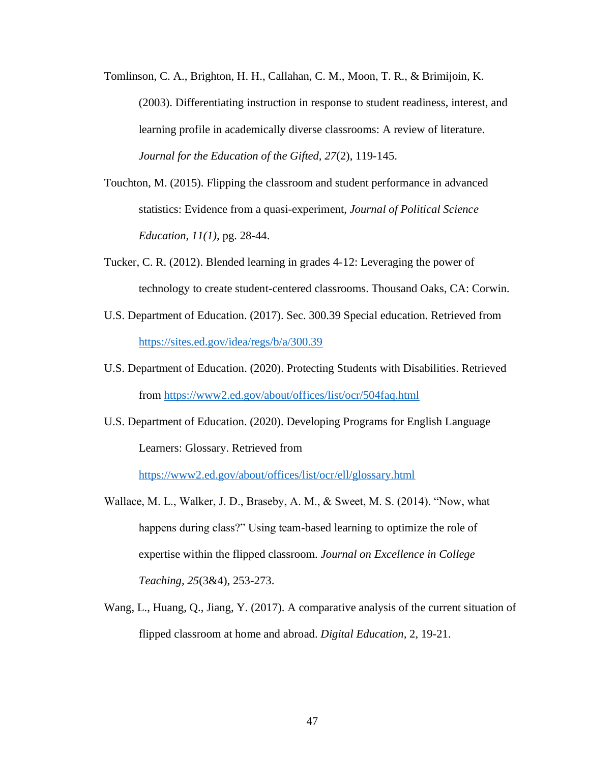- Tomlinson, C. A., Brighton, H. H., Callahan, C. M., Moon, T. R., & Brimijoin, K. (2003). Differentiating instruction in response to student readiness, interest, and learning profile in academically diverse classrooms: A review of literature. *Journal for the Education of the Gifted, 27*(2), 119-145.
- Touchton, M. (2015). Flipping the classroom and student performance in advanced statistics: Evidence from a quasi-experiment, *Journal of Political Science Education, 11(1),* pg. 28-44.
- Tucker, C. R. (2012). Blended learning in grades 4-12: Leveraging the power of technology to create student-centered classrooms. Thousand Oaks, CA: Corwin.
- U.S. Department of Education. (2017). Sec. 300.39 Special education. Retrieved from <https://sites.ed.gov/idea/regs/b/a/300.39>
- U.S. Department of Education. (2020). Protecting Students with Disabilities. Retrieved from<https://www2.ed.gov/about/offices/list/ocr/504faq.html>
- U.S. Department of Education. (2020). Developing Programs for English Language Learners: Glossary. Retrieved from

<https://www2.ed.gov/about/offices/list/ocr/ell/glossary.html>

- Wallace, M. L., Walker, J. D., Braseby, A. M., & Sweet, M. S. (2014). "Now, what happens during class?" Using team-based learning to optimize the role of expertise within the flipped classroom. *Journal on Excellence in College Teaching, 25*(3&4), 253-273.
- Wang, L., Huang, Q., Jiang, Y. (2017). A comparative analysis of the current situation of flipped classroom at home and abroad. *Digital Education,* 2, 19-21.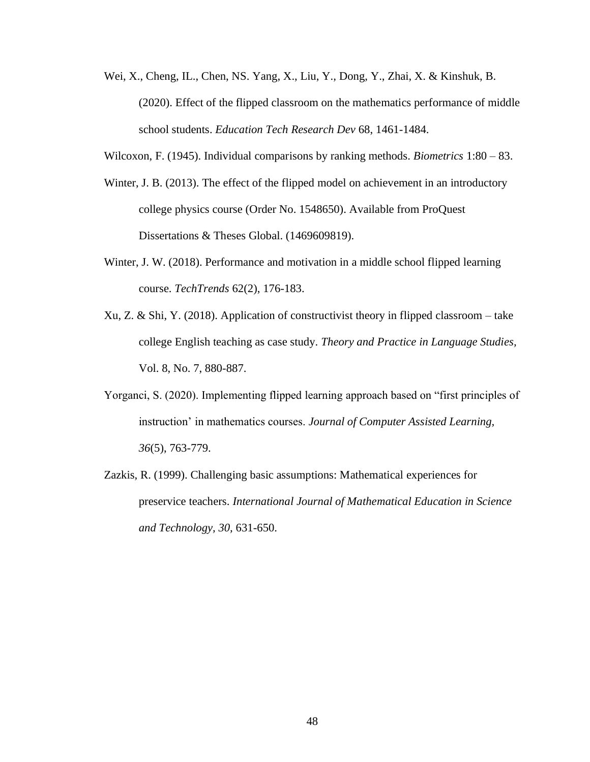Wei, X., Cheng, IL., Chen, NS. Yang, X., Liu, Y., Dong, Y., Zhai, X. & Kinshuk, B. (2020). Effect of the flipped classroom on the mathematics performance of middle school students. *Education Tech Research Dev* 68, 1461-1484.

Wilcoxon, F. (1945). Individual comparisons by ranking methods. *Biometrics* 1:80 – 83.

- Winter, J. B. (2013). The effect of the flipped model on achievement in an introductory college physics course (Order No. 1548650). Available from ProQuest Dissertations & Theses Global. (1469609819).
- Winter, J. W. (2018). Performance and motivation in a middle school flipped learning course. *TechTrends* 62(2), 176-183.
- Xu, Z. & Shi, Y. (2018). Application of constructivist theory in flipped classroom take college English teaching as case study. *Theory and Practice in Language Studies,*  Vol. 8, No. 7, 880-887.
- Yorganci, S. (2020). Implementing flipped learning approach based on "first principles of instruction' in mathematics courses. *Journal of Computer Assisted Learning, 36*(5), 763-779.
- Zazkis, R. (1999). Challenging basic assumptions: Mathematical experiences for preservice teachers. *International Journal of Mathematical Education in Science and Technology, 30,* 631-650.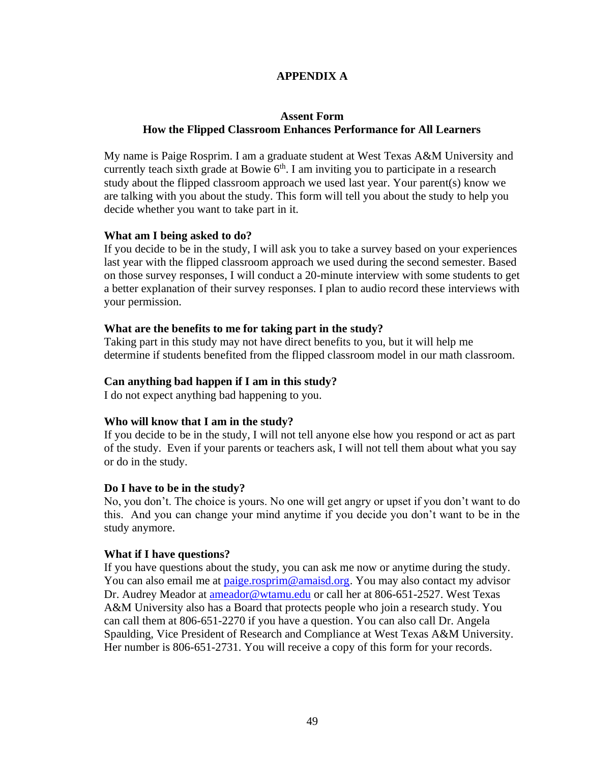## **APPENDIX A**

## <span id="page-56-0"></span>**Assent Form How the Flipped Classroom Enhances Performance for All Learners**

My name is Paige Rosprim. I am a graduate student at West Texas A&M University and currently teach sixth grade at Bowie  $6<sup>th</sup>$ . I am inviting you to participate in a research study about the flipped classroom approach we used last year. Your parent(s) know we are talking with you about the study. This form will tell you about the study to help you decide whether you want to take part in it.

## **What am I being asked to do?**

If you decide to be in the study, I will ask you to take a survey based on your experiences last year with the flipped classroom approach we used during the second semester. Based on those survey responses, I will conduct a 20-minute interview with some students to get a better explanation of their survey responses. I plan to audio record these interviews with your permission.

## **What are the benefits to me for taking part in the study?**

Taking part in this study may not have direct benefits to you, but it will help me determine if students benefited from the flipped classroom model in our math classroom.

## **Can anything bad happen if I am in this study?**

I do not expect anything bad happening to you.

## **Who will know that I am in the study?**

If you decide to be in the study, I will not tell anyone else how you respond or act as part of the study. Even if your parents or teachers ask, I will not tell them about what you say or do in the study.

## **Do I have to be in the study?**

No, you don't. The choice is yours. No one will get angry or upset if you don't want to do this. And you can change your mind anytime if you decide you don't want to be in the study anymore.

## **What if I have questions?**

If you have questions about the study, you can ask me now or anytime during the study. You can also email me at [paige.rosprim@amaisd.org.](mailto:paige.rosprim@amaisd.org) You may also contact my advisor Dr. Audrey Meador at [ameador@wtamu.edu](mailto:ameador@wtamu.edu) or call her at 806-651-2527. West Texas A&M University also has a Board that protects people who join a research study. You can call them at 806-651-2270 if you have a question. You can also call Dr. Angela Spaulding, Vice President of Research and Compliance at West Texas A&M University. Her number is 806-651-2731. You will receive a copy of this form for your records.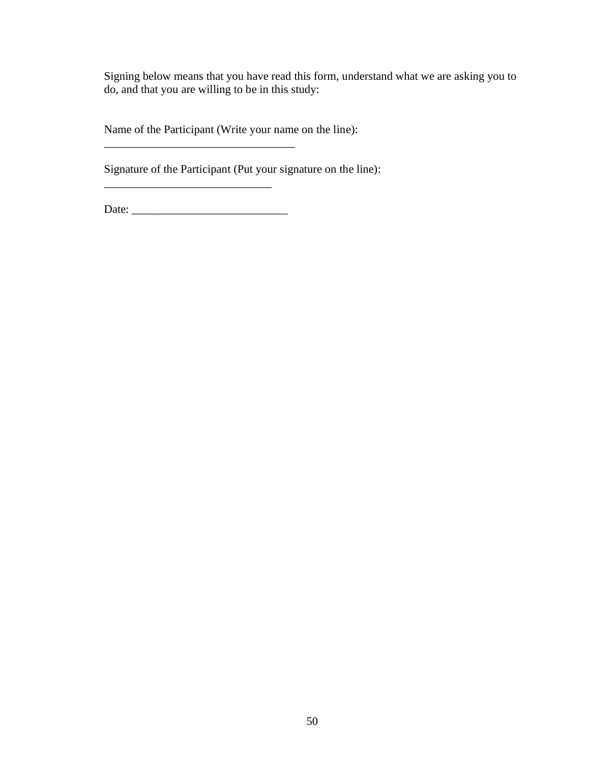Signing below means that you have read this form, understand what we are asking you to do, and that you are willing to be in this study:

Name of the Participant (Write your name on the line):  $\frac{1}{2}$  ,  $\frac{1}{2}$  ,  $\frac{1}{2}$  ,  $\frac{1}{2}$  ,  $\frac{1}{2}$  ,  $\frac{1}{2}$  ,  $\frac{1}{2}$  ,  $\frac{1}{2}$  ,  $\frac{1}{2}$  ,  $\frac{1}{2}$  ,  $\frac{1}{2}$  ,  $\frac{1}{2}$  ,  $\frac{1}{2}$  ,  $\frac{1}{2}$  ,  $\frac{1}{2}$  ,  $\frac{1}{2}$  ,  $\frac{1}{2}$  ,  $\frac{1}{2}$  ,  $\frac{1$ 

Signature of the Participant (Put your signature on the line):

Date: \_\_\_\_\_\_\_\_\_\_\_\_\_\_\_\_\_\_\_\_\_\_\_\_\_\_\_

\_\_\_\_\_\_\_\_\_\_\_\_\_\_\_\_\_\_\_\_\_\_\_\_\_\_\_\_\_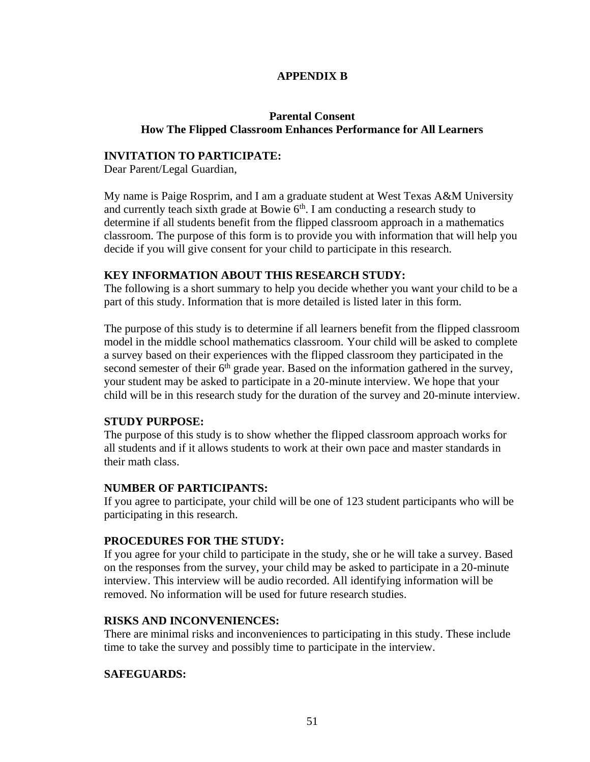## **APPENDIX B**

## <span id="page-58-0"></span>**Parental Consent How The Flipped Classroom Enhances Performance for All Learners**

## **INVITATION TO PARTICIPATE:**

Dear Parent/Legal Guardian,

My name is Paige Rosprim, and I am a graduate student at West Texas A&M University and currently teach sixth grade at Bowie  $6<sup>th</sup>$ . I am conducting a research study to determine if all students benefit from the flipped classroom approach in a mathematics classroom. The purpose of this form is to provide you with information that will help you decide if you will give consent for your child to participate in this research.

## **KEY INFORMATION ABOUT THIS RESEARCH STUDY:**

The following is a short summary to help you decide whether you want your child to be a part of this study. Information that is more detailed is listed later in this form.

The purpose of this study is to determine if all learners benefit from the flipped classroom model in the middle school mathematics classroom. Your child will be asked to complete a survey based on their experiences with the flipped classroom they participated in the second semester of their  $6<sup>th</sup>$  grade year. Based on the information gathered in the survey, your student may be asked to participate in a 20-minute interview. We hope that your child will be in this research study for the duration of the survey and 20-minute interview.

## **STUDY PURPOSE:**

The purpose of this study is to show whether the flipped classroom approach works for all students and if it allows students to work at their own pace and master standards in their math class.

## **NUMBER OF PARTICIPANTS:**

If you agree to participate, your child will be one of 123 student participants who will be participating in this research.

## **PROCEDURES FOR THE STUDY:**

If you agree for your child to participate in the study, she or he will take a survey. Based on the responses from the survey, your child may be asked to participate in a 20-minute interview. This interview will be audio recorded. All identifying information will be removed. No information will be used for future research studies.

## **RISKS AND INCONVENIENCES:**

There are minimal risks and inconveniences to participating in this study. These include time to take the survey and possibly time to participate in the interview.

## **SAFEGUARDS:**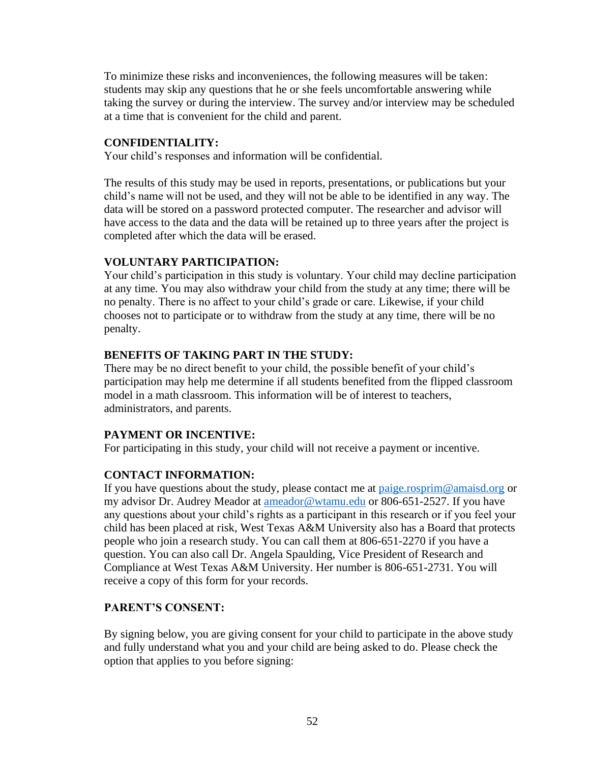To minimize these risks and inconveniences, the following measures will be taken: students may skip any questions that he or she feels uncomfortable answering while taking the survey or during the interview. The survey and/or interview may be scheduled at a time that is convenient for the child and parent.

## **CONFIDENTIALITY:**

Your child's responses and information will be confidential.

The results of this study may be used in reports, presentations, or publications but your child's name will not be used, and they will not be able to be identified in any way. The data will be stored on a password protected computer. The researcher and advisor will have access to the data and the data will be retained up to three years after the project is completed after which the data will be erased.

## **VOLUNTARY PARTICIPATION:**

Your child's participation in this study is voluntary. Your child may decline participation at any time. You may also withdraw your child from the study at any time; there will be no penalty. There is no affect to your child's grade or care. Likewise, if your child chooses not to participate or to withdraw from the study at any time, there will be no penalty.

## **BENEFITS OF TAKING PART IN THE STUDY:**

There may be no direct benefit to your child, the possible benefit of your child's participation may help me determine if all students benefited from the flipped classroom model in a math classroom. This information will be of interest to teachers, administrators, and parents.

## **PAYMENT OR INCENTIVE:**

For participating in this study, your child will not receive a payment or incentive.

## **CONTACT INFORMATION:**

If you have questions about the study, please contact me at [paige.rosprim@amaisd.org](mailto:paige.rosprim@amaisd.org) or my advisor Dr. Audrey Meador at [ameador@wtamu.edu](mailto:ameador@wtamu.edu) or 806-651-2527. If you have any questions about your child's rights as a participant in this research or if you feel your child has been placed at risk, West Texas A&M University also has a Board that protects people who join a research study. You can call them at 806-651-2270 if you have a question. You can also call Dr. Angela Spaulding, Vice President of Research and Compliance at West Texas A&M University. Her number is 806-651-2731. You will receive a copy of this form for your records.

## **PARENT'S CONSENT:**

By signing below, you are giving consent for your child to participate in the above study and fully understand what you and your child are being asked to do. Please check the option that applies to you before signing: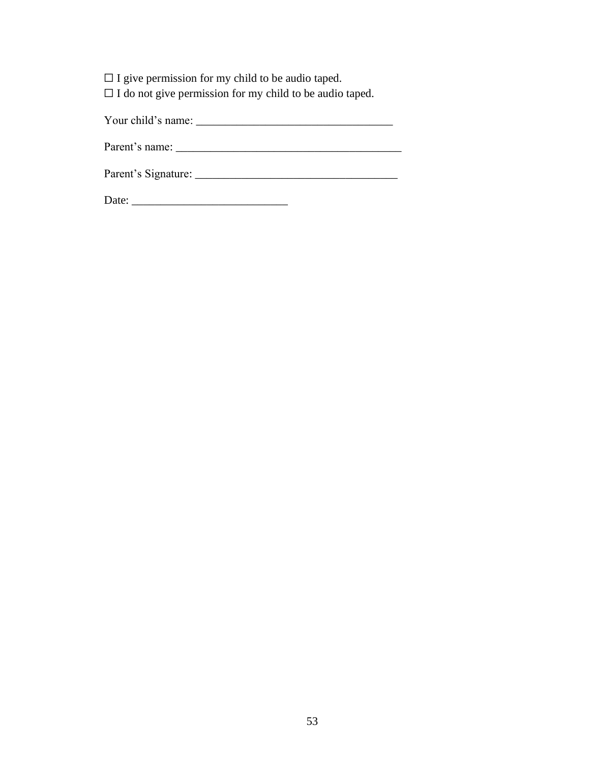□ I give permission for my child to be audio taped.

☐ I do not give permission for my child to be audio taped.

Your child's name: \_\_\_\_\_\_\_\_\_\_\_\_\_\_\_\_\_\_\_\_\_\_\_\_\_\_\_\_\_\_\_\_\_\_

Parent's name: \_\_\_\_\_\_\_\_\_\_\_\_\_\_\_\_\_\_\_\_\_\_\_\_\_\_\_\_\_\_\_\_\_\_\_\_\_\_\_

Parent's Signature: \_\_\_\_\_\_\_\_\_\_\_\_\_\_\_\_\_\_\_\_\_\_\_\_\_\_\_\_\_\_\_\_\_\_\_

Date: \_\_\_\_\_\_\_\_\_\_\_\_\_\_\_\_\_\_\_\_\_\_\_\_\_\_\_